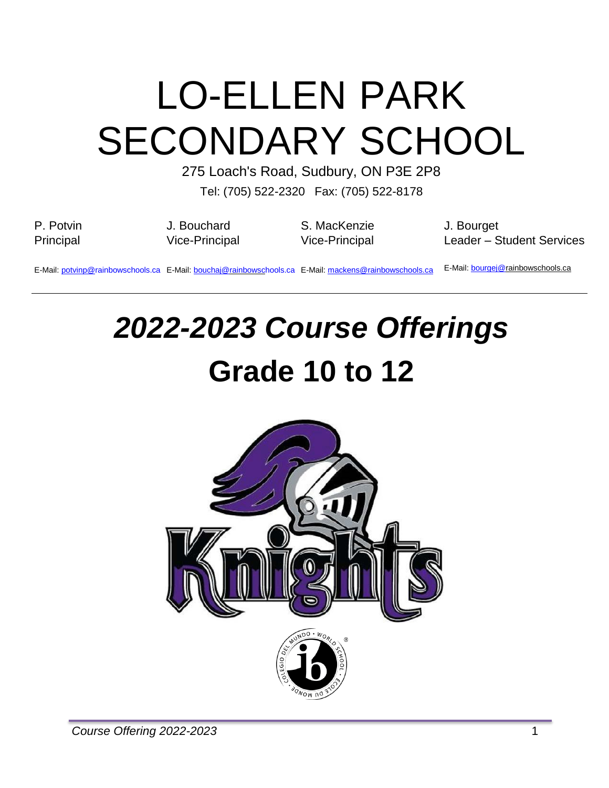# LO-ELLEN PARK SECONDARY SCHOOL

275 Loach's Road, Sudbury, ON P3E 2P8

Tel: (705) 522-2320 Fax: (705) 522-8178

| P. Potvin | J. Bouchard    | S. MacKenzie                                                                                          | J. Bourget                               |
|-----------|----------------|-------------------------------------------------------------------------------------------------------|------------------------------------------|
| Principal | Vice-Principal | Vice-Principal                                                                                        | Leader - Student Services                |
|           |                | E-Mail: potvinp@rainbowschools.ca E-Mail: bouchai@rainbowschools.ca E-Mail: mackens@rainbowschools.ca | E-Mail: <i>bourgej@rainbowschools.ca</i> |

# *2022-2023 Course Offerings* **Grade 10 to 12**

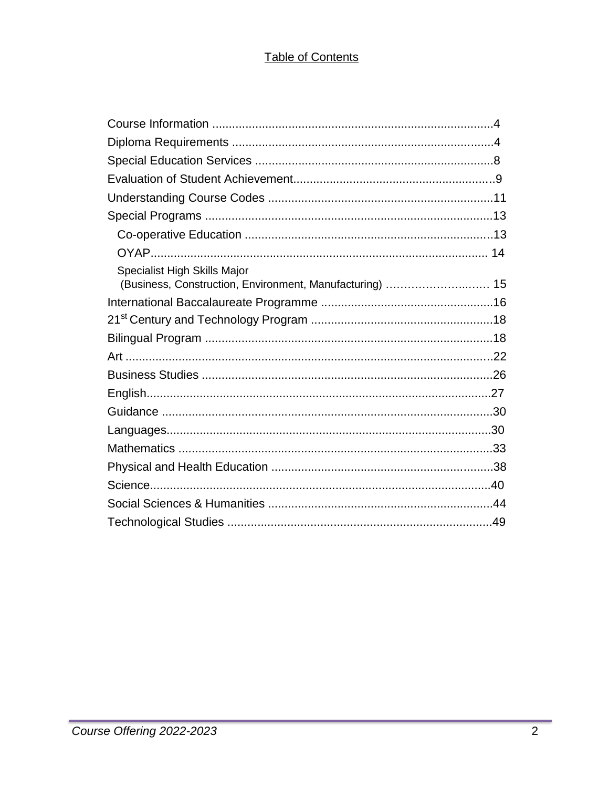# Table of Contents

| Specialist High Skills Major<br>(Business, Construction, Environment, Manufacturing)  15 |  |  |  |  |  |
|------------------------------------------------------------------------------------------|--|--|--|--|--|
|                                                                                          |  |  |  |  |  |
|                                                                                          |  |  |  |  |  |
|                                                                                          |  |  |  |  |  |
|                                                                                          |  |  |  |  |  |
|                                                                                          |  |  |  |  |  |
|                                                                                          |  |  |  |  |  |
|                                                                                          |  |  |  |  |  |
|                                                                                          |  |  |  |  |  |
|                                                                                          |  |  |  |  |  |
|                                                                                          |  |  |  |  |  |
|                                                                                          |  |  |  |  |  |
|                                                                                          |  |  |  |  |  |
|                                                                                          |  |  |  |  |  |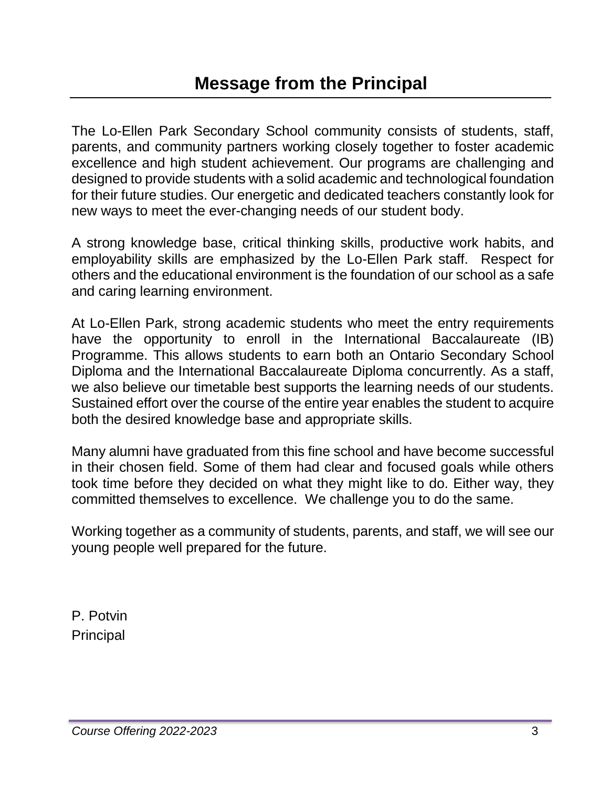The Lo-Ellen Park Secondary School community consists of students, staff, parents, and community partners working closely together to foster academic excellence and high student achievement. Our programs are challenging and designed to provide students with a solid academic and technological foundation for their future studies. Our energetic and dedicated teachers constantly look for new ways to meet the ever-changing needs of our student body.

A strong knowledge base, critical thinking skills, productive work habits, and employability skills are emphasized by the Lo-Ellen Park staff. Respect for others and the educational environment is the foundation of our school as a safe and caring learning environment.

At Lo-Ellen Park, strong academic students who meet the entry requirements have the opportunity to enroll in the International Baccalaureate (IB) Programme. This allows students to earn both an Ontario Secondary School Diploma and the International Baccalaureate Diploma concurrently. As a staff, we also believe our timetable best supports the learning needs of our students. Sustained effort over the course of the entire year enables the student to acquire both the desired knowledge base and appropriate skills.

Many alumni have graduated from this fine school and have become successful in their chosen field. Some of them had clear and focused goals while others took time before they decided on what they might like to do. Either way, they committed themselves to excellence. We challenge you to do the same.

Working together as a community of students, parents, and staff, we will see our young people well prepared for the future.

P. Potvin **Principal**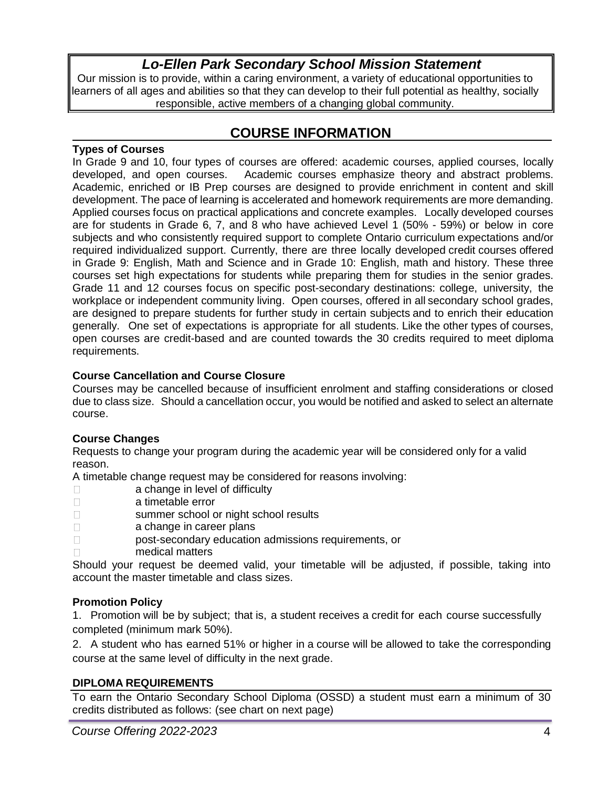# *Lo-Ellen Park Secondary School Mission Statement*

Our mission is to provide, within a caring environment, a variety of educational opportunities to learners of all ages and abilities so that they can develop to their full potential as healthy, socially responsible, active members of a changing global community.

# **COURSE INFORMATION**

#### **Types of Courses**

In Grade 9 and 10, four types of courses are offered: academic courses, applied courses, locally developed, and open courses. Academic courses emphasize theory and abstract problems. Academic, enriched or IB Prep courses are designed to provide enrichment in content and skill development. The pace of learning is accelerated and homework requirements are more demanding. Applied courses focus on practical applications and concrete examples. Locally developed courses are for students in Grade 6, 7, and 8 who have achieved Level 1 (50% - 59%) or below in core subjects and who consistently required support to complete Ontario curriculum expectations and/or required individualized support. Currently, there are three locally developed credit courses offered in Grade 9: English, Math and Science and in Grade 10: English, math and history. These three courses set high expectations for students while preparing them for studies in the senior grades. Grade 11 and 12 courses focus on specific post-secondary destinations: college, university, the workplace or independent community living. Open courses, offered in all secondary school grades, are designed to prepare students for further study in certain subjects and to enrich their education generally. One set of expectations is appropriate for all students. Like the other types of courses, open courses are credit-based and are counted towards the 30 credits required to meet diploma requirements.

# **Course Cancellation and Course Closure**

Courses may be cancelled because of insufficient enrolment and staffing considerations or closed due to class size. Should a cancellation occur, you would be notified and asked to select an alternate course.

# **Course Changes**

Requests to change your program during the academic year will be considered only for a valid reason.

A timetable change request may be considered for reasons involving:

- **a** change in level of difficulty
- a timetable error
- summer school or night school results
- **a** change in career plans
- post-secondary education admissions requirements, or
- medical matters

Should your request be deemed valid, your timetable will be adjusted, if possible, taking into account the master timetable and class sizes.

# **Promotion Policy**

1. Promotion will be by subject; that is, a student receives a credit for each course successfully completed (minimum mark 50%).

2. A student who has earned 51% or higher in a course will be allowed to take the corresponding course at the same level of difficulty in the next grade.

# **DIPLOMA REQUIREMENTS**

To earn the Ontario Secondary School Diploma (OSSD) a student must earn a minimum of 30 credits distributed as follows: (see chart on next page)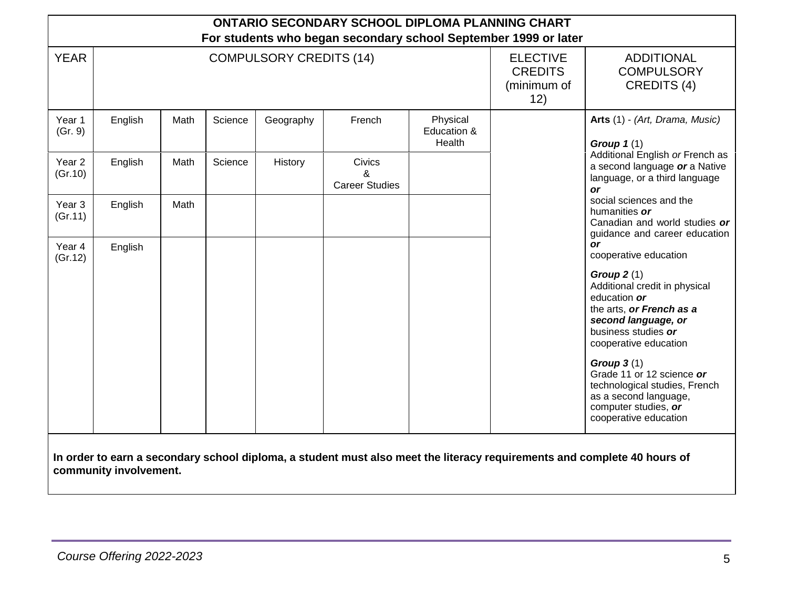| <b>ONTARIO SECONDARY SCHOOL DIPLOMA PLANNING CHART</b><br>For students who began secondary school September 1999 or later |         |      |         |                                |                                                         |                                                       |  |                                                                                                                                                                                                                                                                                                                                                                                                                                                                                                                                                                                                                                                                                                                                                                              |  |  |
|---------------------------------------------------------------------------------------------------------------------------|---------|------|---------|--------------------------------|---------------------------------------------------------|-------------------------------------------------------|--|------------------------------------------------------------------------------------------------------------------------------------------------------------------------------------------------------------------------------------------------------------------------------------------------------------------------------------------------------------------------------------------------------------------------------------------------------------------------------------------------------------------------------------------------------------------------------------------------------------------------------------------------------------------------------------------------------------------------------------------------------------------------------|--|--|
| <b>YEAR</b>                                                                                                               |         |      |         | <b>COMPULSORY CREDITS (14)</b> | <b>ELECTIVE</b><br><b>CREDITS</b><br>(minimum of<br>12) | <b>ADDITIONAL</b><br><b>COMPULSORY</b><br>CREDITS (4) |  |                                                                                                                                                                                                                                                                                                                                                                                                                                                                                                                                                                                                                                                                                                                                                                              |  |  |
| Year 1<br>(Gr. 9)                                                                                                         | English | Math | Science | Geography                      | French                                                  | Physical<br>Education &<br>Health                     |  | Arts (1) - (Art, Drama, Music)<br>Group $1(1)$<br>Additional English or French as<br>a second language or a Native<br>language, or a third language<br><b>or</b><br>social sciences and the<br>humanities or<br>Canadian and world studies or<br>guidance and career education<br><b>or</b><br>cooperative education<br>Group $2(1)$<br>Additional credit in physical<br>education or<br>the arts, or French as a<br>second language, or<br>business studies or<br>cooperative education<br>Group $3(1)$<br>Grade 11 or 12 science or<br>technological studies, French<br>as a second language,<br>computer studies, or<br>cooperative education<br>In order to earn a secondary school diploma, a student must also meet the literacy requirements and complete 40 hours of |  |  |
| Year <sub>2</sub><br>(Gr.10)                                                                                              | English | Math | Science | History                        | <b>Civics</b><br>ጼ<br><b>Career Studies</b>             |                                                       |  |                                                                                                                                                                                                                                                                                                                                                                                                                                                                                                                                                                                                                                                                                                                                                                              |  |  |
| Year 3<br>(Gr.11)                                                                                                         | English | Math |         |                                |                                                         |                                                       |  |                                                                                                                                                                                                                                                                                                                                                                                                                                                                                                                                                                                                                                                                                                                                                                              |  |  |
| Year 4<br>(Gr.12)                                                                                                         | English |      |         |                                |                                                         |                                                       |  |                                                                                                                                                                                                                                                                                                                                                                                                                                                                                                                                                                                                                                                                                                                                                                              |  |  |
|                                                                                                                           |         |      |         |                                |                                                         |                                                       |  |                                                                                                                                                                                                                                                                                                                                                                                                                                                                                                                                                                                                                                                                                                                                                                              |  |  |
| community involvement.                                                                                                    |         |      |         |                                |                                                         |                                                       |  |                                                                                                                                                                                                                                                                                                                                                                                                                                                                                                                                                                                                                                                                                                                                                                              |  |  |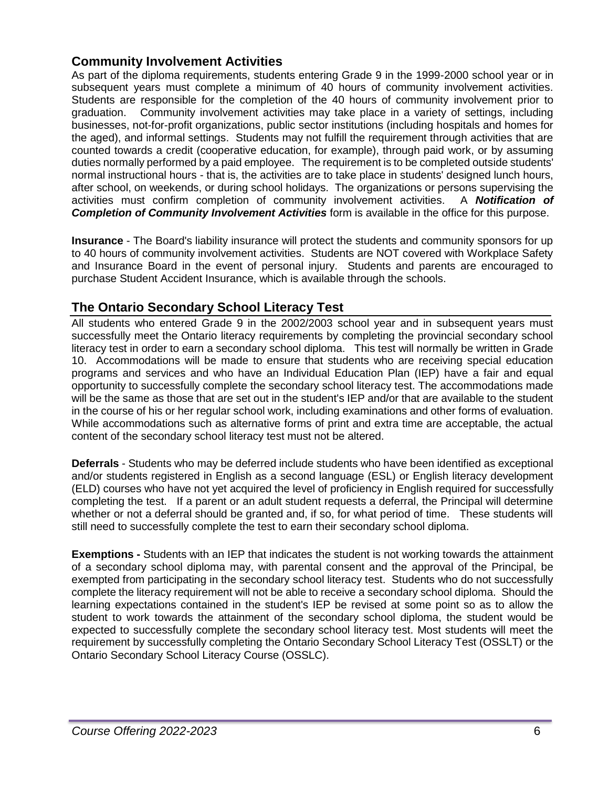# **Community Involvement Activities**

As part of the diploma requirements, students entering Grade 9 in the 1999-2000 school year or in subsequent years must complete a minimum of 40 hours of community involvement activities. Students are responsible for the completion of the 40 hours of community involvement prior to graduation. Community involvement activities may take place in a variety of settings, including businesses, not-for-profit organizations, public sector institutions (including hospitals and homes for the aged), and informal settings. Students may not fulfill the requirement through activities that are counted towards a credit (cooperative education, for example), through paid work, or by assuming duties normally performed by a paid employee. The requirement is to be completed outside students' normal instructional hours - that is, the activities are to take place in students' designed lunch hours, after school, on weekends, or during school holidays. The organizations or persons supervising the activities must confirm completion of community involvement activities. A *Notification of*  **Completion of Community Involvement Activities** form is available in the office for this purpose.

**Insurance** - The Board's liability insurance will protect the students and community sponsors for up to 40 hours of community involvement activities. Students are NOT covered with Workplace Safety and Insurance Board in the event of personal injury. Students and parents are encouraged to purchase Student Accident Insurance, which is available through the schools.

# **The Ontario Secondary School Literacy Test**

All students who entered Grade 9 in the 2002/2003 school year and in subsequent years must successfully meet the Ontario literacy requirements by completing the provincial secondary school literacy test in order to earn a secondary school diploma. This test will normally be written in Grade 10. Accommodations will be made to ensure that students who are receiving special education programs and services and who have an Individual Education Plan (IEP) have a fair and equal opportunity to successfully complete the secondary school literacy test. The accommodations made will be the same as those that are set out in the student's IEP and/or that are available to the student in the course of his or her regular school work, including examinations and other forms of evaluation. While accommodations such as alternative forms of print and extra time are acceptable, the actual content of the secondary school literacy test must not be altered.

**Deferrals** - Students who may be deferred include students who have been identified as exceptional and/or students registered in English as a second language (ESL) or English literacy development (ELD) courses who have not yet acquired the level of proficiency in English required for successfully completing the test. If a parent or an adult student requests a deferral, the Principal will determine whether or not a deferral should be granted and, if so, for what period of time. These students will still need to successfully complete the test to earn their secondary school diploma.

**Exemptions -** Students with an IEP that indicates the student is not working towards the attainment of a secondary school diploma may, with parental consent and the approval of the Principal, be exempted from participating in the secondary school literacy test. Students who do not successfully complete the literacy requirement will not be able to receive a secondary school diploma. Should the learning expectations contained in the student's IEP be revised at some point so as to allow the student to work towards the attainment of the secondary school diploma, the student would be expected to successfully complete the secondary school literacy test. Most students will meet the requirement by successfully completing the Ontario Secondary School Literacy Test (OSSLT) or the Ontario Secondary School Literacy Course (OSSLC).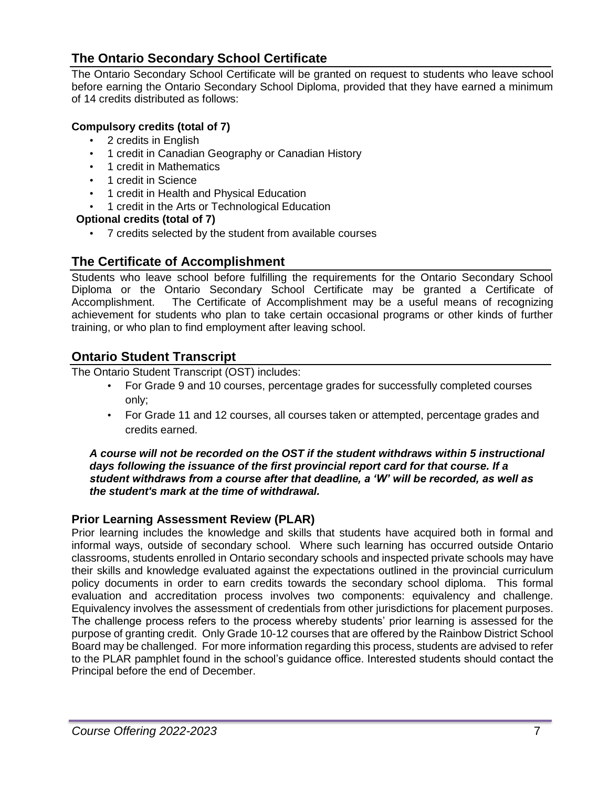# **The Ontario Secondary School Certificate**

The Ontario Secondary School Certificate will be granted on request to students who leave school before earning the Ontario Secondary School Diploma, provided that they have earned a minimum of 14 credits distributed as follows:

# **Compulsory credits (total of 7)**

- 2 credits in English
- 1 credit in Canadian Geography or Canadian History
- 1 credit in Mathematics
- 1 credit in Science
- 1 credit in Health and Physical Education
- 1 credit in the Arts or Technological Education

# **Optional credits (total of 7)**

• 7 credits selected by the student from available courses

# **The Certificate of Accomplishment**

Students who leave school before fulfilling the requirements for the Ontario Secondary School Diploma or the Ontario Secondary School Certificate may be granted a Certificate of Accomplishment. The Certificate of Accomplishment may be a useful means of recognizing achievement for students who plan to take certain occasional programs or other kinds of further training, or who plan to find employment after leaving school.

# **Ontario Student Transcript**

The Ontario Student Transcript (OST) includes:

- For Grade 9 and 10 courses, percentage grades for successfully completed courses only;
- For Grade 11 and 12 courses, all courses taken or attempted, percentage grades and credits earned.

*A course will not be recorded on the OST if the student withdraws within 5 instructional days following the issuance of the first provincial report card for that course. If a student withdraws from a course after that deadline, a 'W' will be recorded, as well as the student's mark at the time of withdrawal.*

# **Prior Learning Assessment Review (PLAR)**

Prior learning includes the knowledge and skills that students have acquired both in formal and informal ways, outside of secondary school. Where such learning has occurred outside Ontario classrooms, students enrolled in Ontario secondary schools and inspected private schools may have their skills and knowledge evaluated against the expectations outlined in the provincial curriculum policy documents in order to earn credits towards the secondary school diploma. This formal evaluation and accreditation process involves two components: equivalency and challenge. Equivalency involves the assessment of credentials from other jurisdictions for placement purposes. The challenge process refers to the process whereby students' prior learning is assessed for the purpose of granting credit. Only Grade 10-12 courses that are offered by the Rainbow District School Board may be challenged. For more information regarding this process, students are advised to refer to the PLAR pamphlet found in the school's guidance office. Interested students should contact the Principal before the end of December.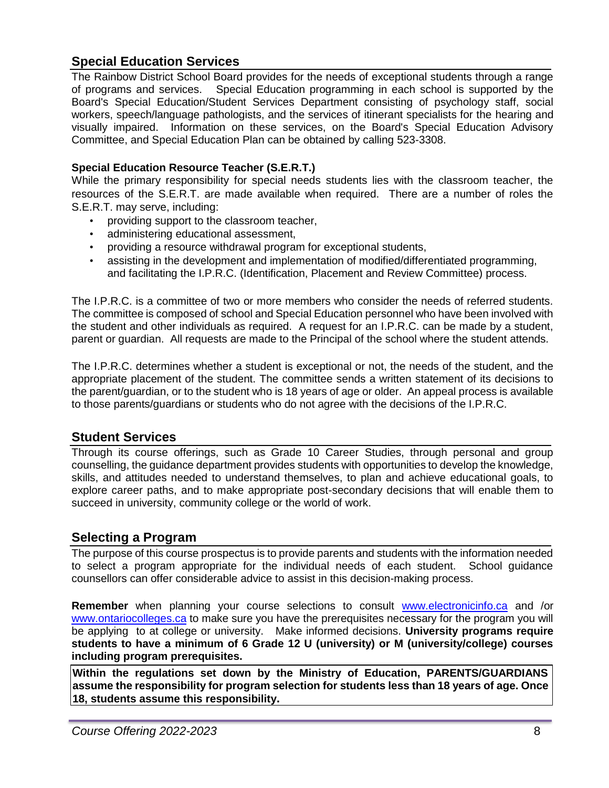# **Special Education Services**

The Rainbow District School Board provides for the needs of exceptional students through a range of programs and services. Special Education programming in each school is supported by the Board's Special Education/Student Services Department consisting of psychology staff, social workers, speech/language pathologists, and the services of itinerant specialists for the hearing and visually impaired. Information on these services, on the Board's Special Education Advisory Committee, and Special Education Plan can be obtained by calling 523-3308.

# **Special Education Resource Teacher (S.E.R.T.)**

While the primary responsibility for special needs students lies with the classroom teacher, the resources of the S.E.R.T. are made available when required. There are a number of roles the S.E.R.T. may serve, including:

- providing support to the classroom teacher,
- administering educational assessment,
- providing a resource withdrawal program for exceptional students,
- assisting in the development and implementation of modified/differentiated programming, and facilitating the I.P.R.C. (Identification, Placement and Review Committee) process.

The I.P.R.C. is a committee of two or more members who consider the needs of referred students. The committee is composed of school and Special Education personnel who have been involved with the student and other individuals as required. A request for an I.P.R.C. can be made by a student, parent or guardian. All requests are made to the Principal of the school where the student attends.

The I.P.R.C. determines whether a student is exceptional or not, the needs of the student, and the appropriate placement of the student. The committee sends a written statement of its decisions to the parent/guardian, or to the student who is 18 years of age or older. An appeal process is available to those parents/guardians or students who do not agree with the decisions of the I.P.R.C.

# **Student Services**

Through its course offerings, such as Grade 10 Career Studies, through personal and group counselling, the guidance department provides students with opportunities to develop the knowledge, skills, and attitudes needed to understand themselves, to plan and achieve educational goals, to explore career paths, and to make appropriate post-secondary decisions that will enable them to succeed in university, community college or the world of work.

# **Selecting a Program**

The purpose of this course prospectus is to provide parents and students with the information needed to select a program appropriate for the individual needs of each student. School guidance counsellors can offer considerable advice to assist in this decision-making process.

**Remember** when planning your course selections to consult [www.electronicinfo.ca a](http://www.electronicinfo.ca/)nd /or [www.ontariocolleges.ca](http://www.ontariocolleges.ca/) to make sure you have the prerequisites necessary for the program you will be applying to at college or university. Make informed decisions. **University programs require students to have a minimum of 6 Grade 12 U (university) or M (university/college) courses including program prerequisites.**

**Within the regulations set down by the Ministry of Education, PARENTS/GUARDIANS assume the responsibility for program selection for students less than 18 years of age. Once 18, students assume this responsibility.**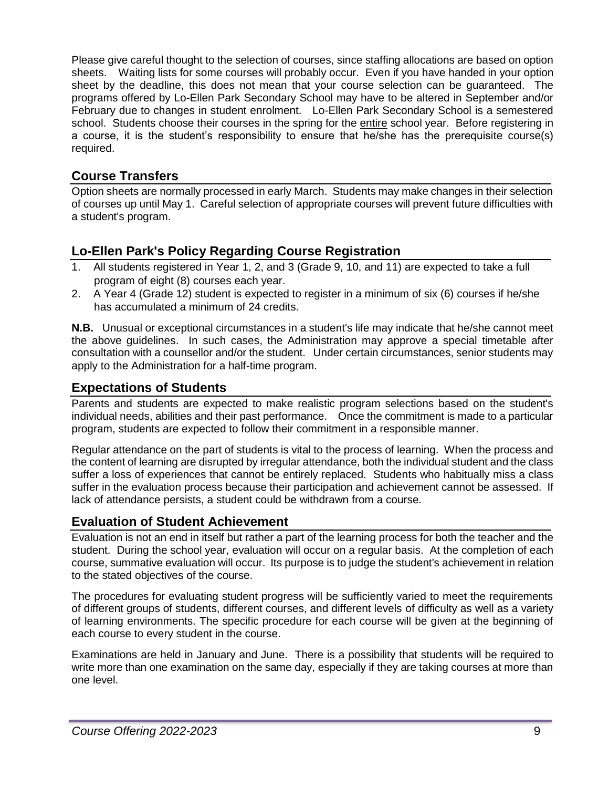Please give careful thought to the selection of courses, since staffing allocations are based on option sheets. Waiting lists for some courses will probably occur. Even if you have handed in your option sheet by the deadline, this does not mean that your course selection can be guaranteed. The programs offered by Lo-Ellen Park Secondary School may have to be altered in September and/or February due to changes in student enrolment. Lo-Ellen Park Secondary School is a semestered school. Students choose their courses in the spring for the entire school year. Before registering in a course, it is the student's responsibility to ensure that he/she has the prerequisite course(s) required.

# **Course Transfers**

Option sheets are normally processed in early March. Students may make changes in their selection of courses up until May 1. Careful selection of appropriate courses will prevent future difficulties with a student's program.

# **Lo-Ellen Park's Policy Regarding Course Registration**

- 1. All students registered in Year 1, 2, and 3 (Grade 9, 10, and 11) are expected to take a full program of eight (8) courses each year.
- 2. A Year 4 (Grade 12) student is expected to register in a minimum of six (6) courses if he/she has accumulated a minimum of 24 credits.

**N.B.** Unusual or exceptional circumstances in a student's life may indicate that he/she cannot meet the above guidelines. In such cases, the Administration may approve a special timetable after consultation with a counsellor and/or the student. Under certain circumstances, senior students may apply to the Administration for a half-time program.

# **Expectations of Students**

Parents and students are expected to make realistic program selections based on the student's individual needs, abilities and their past performance. Once the commitment is made to a particular program, students are expected to follow their commitment in a responsible manner.

Regular attendance on the part of students is vital to the process of learning. When the process and the content of learning are disrupted by irregular attendance, both the individual student and the class suffer a loss of experiences that cannot be entirely replaced. Students who habitually miss a class suffer in the evaluation process because their participation and achievement cannot be assessed. If lack of attendance persists, a student could be withdrawn from a course.

# **Evaluation of Student Achievement**

Evaluation is not an end in itself but rather a part of the learning process for both the teacher and the student. During the school year, evaluation will occur on a regular basis. At the completion of each course, summative evaluation will occur. Its purpose is to judge the student's achievement in relation to the stated objectives of the course.

The procedures for evaluating student progress will be sufficiently varied to meet the requirements of different groups of students, different courses, and different levels of difficulty as well as a variety of learning environments. The specific procedure for each course will be given at the beginning of each course to every student in the course.

Examinations are held in January and June. There is a possibility that students will be required to write more than one examination on the same day, especially if they are taking courses at more than one level.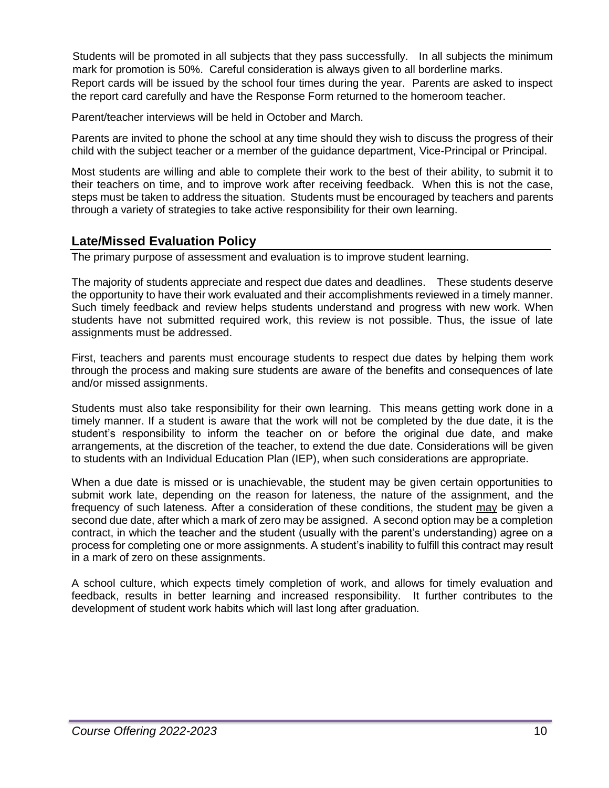Students will be promoted in all subjects that they pass successfully. In all subjects the minimum mark for promotion is 50%. Careful consideration is always given to all borderline marks. Report cards will be issued by the school four times during the year. Parents are asked to inspect the report card carefully and have the Response Form returned to the homeroom teacher.

Parent/teacher interviews will be held in October and March.

Parents are invited to phone the school at any time should they wish to discuss the progress of their child with the subject teacher or a member of the guidance department, Vice-Principal or Principal.

Most students are willing and able to complete their work to the best of their ability, to submit it to their teachers on time, and to improve work after receiving feedback. When this is not the case, steps must be taken to address the situation. Students must be encouraged by teachers and parents through a variety of strategies to take active responsibility for their own learning.

# **Late/Missed Evaluation Policy**

The primary purpose of assessment and evaluation is to improve student learning.

The majority of students appreciate and respect due dates and deadlines. These students deserve the opportunity to have their work evaluated and their accomplishments reviewed in a timely manner. Such timely feedback and review helps students understand and progress with new work. When students have not submitted required work, this review is not possible. Thus, the issue of late assignments must be addressed.

First, teachers and parents must encourage students to respect due dates by helping them work through the process and making sure students are aware of the benefits and consequences of late and/or missed assignments.

Students must also take responsibility for their own learning. This means getting work done in a timely manner. If a student is aware that the work will not be completed by the due date, it is the student's responsibility to inform the teacher on or before the original due date, and make arrangements, at the discretion of the teacher, to extend the due date. Considerations will be given to students with an Individual Education Plan (IEP), when such considerations are appropriate.

When a due date is missed or is unachievable, the student may be given certain opportunities to submit work late, depending on the reason for lateness, the nature of the assignment, and the frequency of such lateness. After a consideration of these conditions, the student may be given a second due date, after which a mark of zero may be assigned. A second option may be a completion contract, in which the teacher and the student (usually with the parent's understanding) agree on a process for completing one or more assignments. A student's inability to fulfill this contract may result in a mark of zero on these assignments.

A school culture, which expects timely completion of work, and allows for timely evaluation and feedback, results in better learning and increased responsibility. It further contributes to the development of student work habits which will last long after graduation.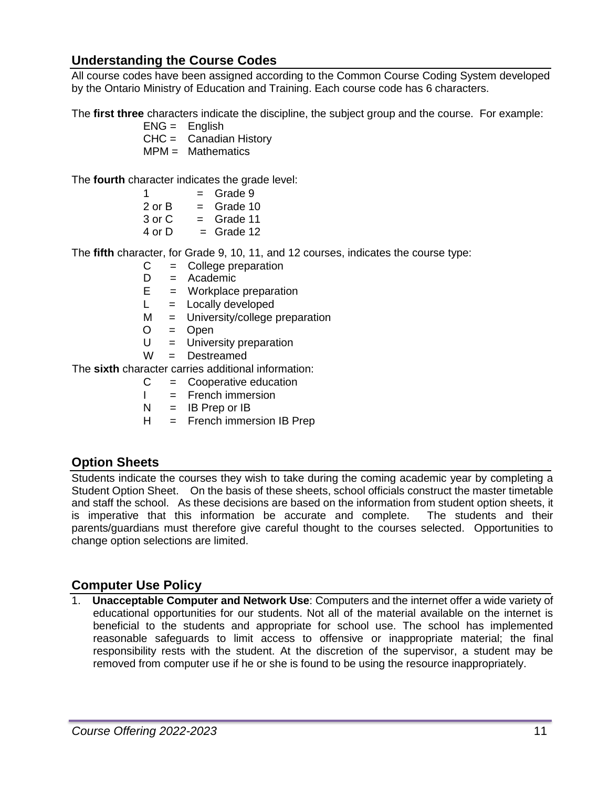# **Understanding the Course Codes**

All course codes have been assigned according to the Common Course Coding System developed by the Ontario Ministry of Education and Training. Each course code has 6 characters.

The **first three** characters indicate the discipline, the subject group and the course. For example:

- $ENG =$  English
- $CHC =$  Canadian History
- $MPM = Mathematics$

The **fourth** character indicates the grade level:

 $1 =$  Grade 9 or B = Grade 10 or C  $=$  Grade 11 or  $D =$  Grade 12

The **fifth** character, for Grade 9, 10, 11, and 12 courses, indicates the course type:

- C = College preparation
- D = Academic
- $E =$  Workplace preparation
- $L =$  Locally developed
- M = University/college preparation
- $O = Open$
- $U =$  University preparation
- W = Destreamed

The **sixth** character carries additional information:

- $C =$  Cooperative education
- $I =$  French immersion
- $N = IB$  Prep or IB
- H = French immersion IB Prep

# **Option Sheets**

Students indicate the courses they wish to take during the coming academic year by completing a Student Option Sheet. On the basis of these sheets, school officials construct the master timetable and staff the school. As these decisions are based on the information from student option sheets, it is imperative that this information be accurate and complete. The students and their parents/guardians must therefore give careful thought to the courses selected. Opportunities to change option selections are limited.

# **Computer Use Policy**

1. **Unacceptable Computer and Network Use**: Computers and the internet offer a wide variety of educational opportunities for our students. Not all of the material available on the internet is beneficial to the students and appropriate for school use. The school has implemented reasonable safeguards to limit access to offensive or inappropriate material; the final responsibility rests with the student. At the discretion of the supervisor, a student may be removed from computer use if he or she is found to be using the resource inappropriately.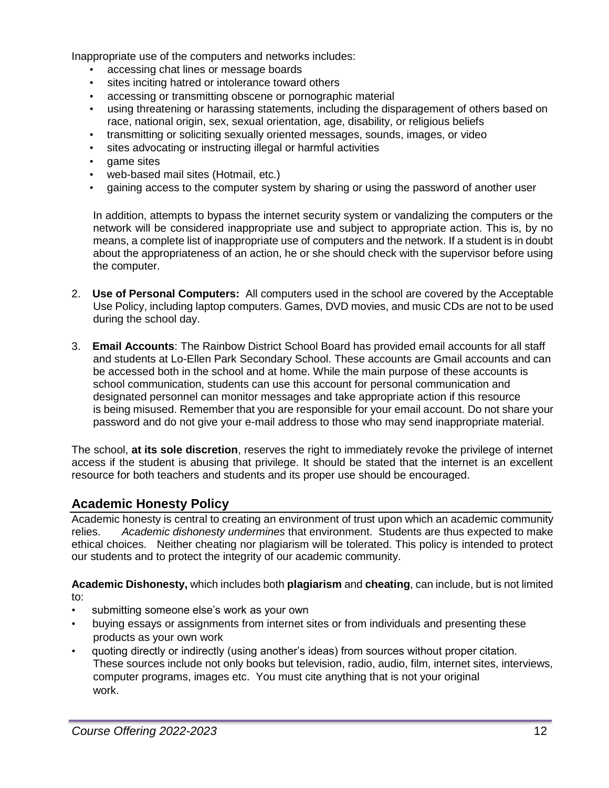Inappropriate use of the computers and networks includes:

- accessing chat lines or message boards
- sites inciting hatred or intolerance toward others
- accessing or transmitting obscene or pornographic material
- using threatening or harassing statements, including the disparagement of others based on race, national origin, sex, sexual orientation, age, disability, or religious beliefs
- transmitting or soliciting sexually oriented messages, sounds, images, or video
- sites advocating or instructing illegal or harmful activities
- game sites
- web-based mail sites (Hotmail, etc.)
- gaining access to the computer system by sharing or using the password of another user

In addition, attempts to bypass the internet security system or vandalizing the computers or the network will be considered inappropriate use and subject to appropriate action. This is, by no means, a complete list of inappropriate use of computers and the network. If a student is in doubt about the appropriateness of an action, he or she should check with the supervisor before using the computer.

- 2. **Use of Personal Computers:** All computers used in the school are covered by the Acceptable Use Policy, including laptop computers. Games, DVD movies, and music CDs are not to be used during the school day.
- 3. **Email Accounts**: The Rainbow District School Board has provided email accounts for all staff and students at Lo-Ellen Park Secondary School. These accounts are Gmail accounts and can be accessed both in the school and at home. While the main purpose of these accounts is school communication, students can use this account for personal communication and designated personnel can monitor messages and take appropriate action if this resource is being misused. Remember that you are responsible for your email account. Do not share your password and do not give your e-mail address to those who may send inappropriate material.

The school, **at its sole discretion**, reserves the right to immediately revoke the privilege of internet access if the student is abusing that privilege. It should be stated that the internet is an excellent resource for both teachers and students and its proper use should be encouraged.

# **Academic Honesty Policy**

Academic honesty is central to creating an environment of trust upon which an academic community relies. *Academic dishonesty undermines* that environment. Students are thus expected to make ethical choices. Neither cheating nor plagiarism will be tolerated. This policy is intended to protect our students and to protect the integrity of our academic community.

**Academic Dishonesty,** which includes both **plagiarism** and **cheating**, can include, but is not limited to:

- submitting someone else's work as your own
- buying essays or assignments from internet sites or from individuals and presenting these products as your own work
- quoting directly or indirectly (using another's ideas) from sources without proper citation. These sources include not only books but television, radio, audio, film, internet sites, interviews, computer programs, images etc. You must cite anything that is not your original work.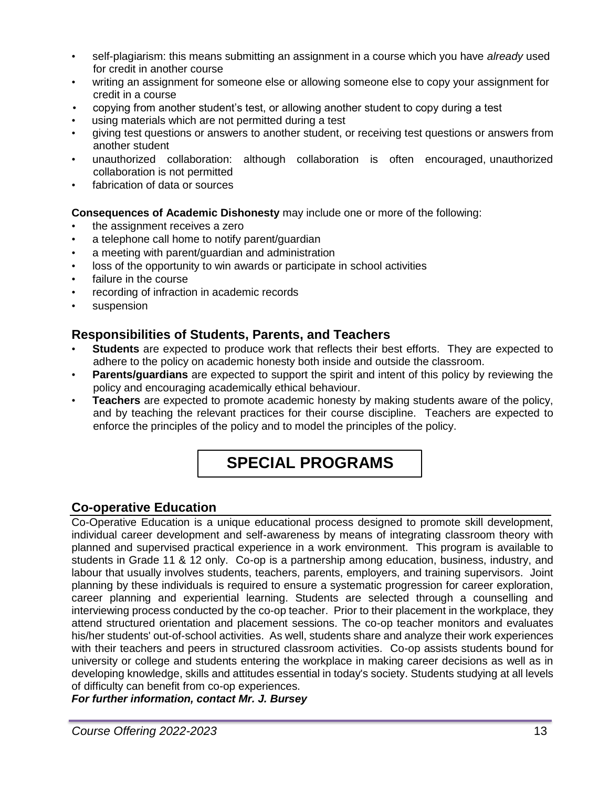- self-plagiarism: this means submitting an assignment in a course which you have *already* used for credit in another course
- writing an assignment for someone else or allowing someone else to copy your assignment for credit in a course
- copying from another student's test, or allowing another student to copy during a test
- using materials which are not permitted during a test
- giving test questions or answers to another student, or receiving test questions or answers from another student
- unauthorized collaboration: although collaboration is often encouraged, unauthorized collaboration is not permitted
- fabrication of data or sources

# **Consequences of Academic Dishonesty** may include one or more of the following:

- the assignment receives a zero
- a telephone call home to notify parent/guardian
- a meeting with parent/guardian and administration
- loss of the opportunity to win awards or participate in school activities
- failure in the course
- recording of infraction in academic records
- suspension

# **Responsibilities of Students, Parents, and Teachers**

- **Students** are expected to produce work that reflects their best efforts. They are expected to adhere to the policy on academic honesty both inside and outside the classroom.
- **Parents/guardians** are expected to support the spirit and intent of this policy by reviewing the policy and encouraging academically ethical behaviour.
- **Teachers** are expected to promote academic honesty by making students aware of the policy, and by teaching the relevant practices for their course discipline. Teachers are expected to enforce the principles of the policy and to model the principles of the policy.

# **SPECIAL PROGRAMS**

# **Co-operative Education**

Co-Operative Education is a unique educational process designed to promote skill development, individual career development and self-awareness by means of integrating classroom theory with planned and supervised practical experience in a work environment. This program is available to students in Grade 11 & 12 only. Co-op is a partnership among education, business, industry, and labour that usually involves students, teachers, parents, employers, and training supervisors. Joint planning by these individuals is required to ensure a systematic progression for career exploration, career planning and experiential learning. Students are selected through a counselling and interviewing process conducted by the co-op teacher. Prior to their placement in the workplace, they attend structured orientation and placement sessions. The co-op teacher monitors and evaluates his/her students' out-of-school activities. As well, students share and analyze their work experiences with their teachers and peers in structured classroom activities. Co-op assists students bound for university or college and students entering the workplace in making career decisions as well as in developing knowledge, skills and attitudes essential in today's society. Students studying at all levels of difficulty can benefit from co-op experiences.

*For further information, contact Mr. J. Bursey*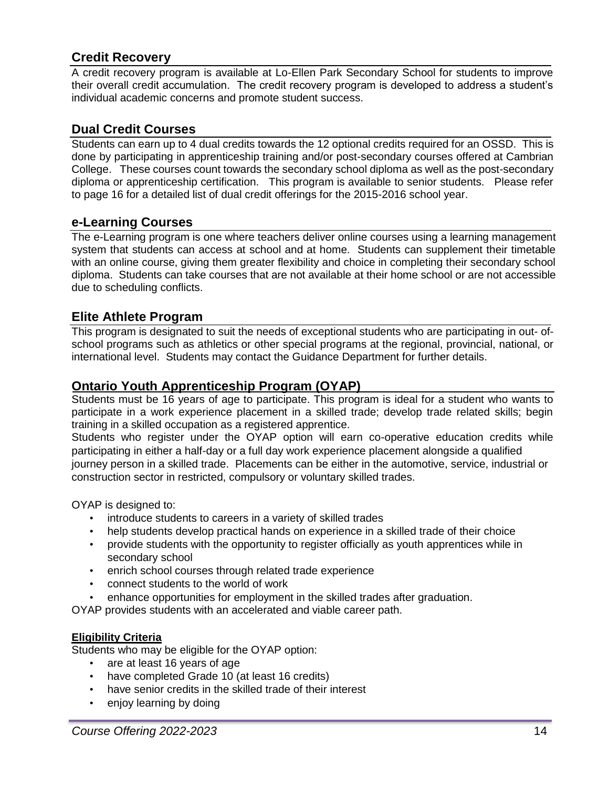# **Credit Recovery**

A credit recovery program is available at Lo-Ellen Park Secondary School for students to improve their overall credit accumulation. The credit recovery program is developed to address a student's individual academic concerns and promote student success.

# **Dual Credit Courses**

Students can earn up to 4 dual credits towards the 12 optional credits required for an OSSD. This is done by participating in apprenticeship training and/or post-secondary courses offered at Cambrian College. These courses count towards the secondary school diploma as well as the post-secondary diploma or apprenticeship certification. This program is available to senior students. Please refer to page 16 for a detailed list of dual credit offerings for the 2015-2016 school year.

# **e-Learning Courses**

The e-Learning program is one where teachers deliver online courses using a learning management system that students can access at school and at home. Students can supplement their timetable with an online course, giving them greater flexibility and choice in completing their secondary school diploma. Students can take courses that are not available at their home school or are not accessible due to scheduling conflicts.

# **Elite Athlete Program**

This program is designated to suit the needs of exceptional students who are participating in out- ofschool programs such as athletics or other special programs at the regional, provincial, national, or international level. Students may contact the Guidance Department for further details.

# **Ontario Youth Apprenticeship Program (OYAP)**

Students must be 16 years of age to participate. This program is ideal for a student who wants to participate in a work experience placement in a skilled trade; develop trade related skills; begin training in a skilled occupation as a registered apprentice.

Students who register under the OYAP option will earn co-operative education credits while participating in either a half-day or a full day work experience placement alongside a qualified journey person in a skilled trade. Placements can be either in the automotive, service, industrial or construction sector in restricted, compulsory or voluntary skilled trades.

OYAP is designed to:

- introduce students to careers in a variety of skilled trades
- help students develop practical hands on experience in a skilled trade of their choice
- provide students with the opportunity to register officially as youth apprentices while in secondary school
- enrich school courses through related trade experience
- connect students to the world of work
- enhance opportunities for employment in the skilled trades after graduation.

OYAP provides students with an accelerated and viable career path.

# **Eligibility Criteria**

Students who may be eligible for the OYAP option:

- are at least 16 years of age
- have completed Grade 10 (at least 16 credits)
- have senior credits in the skilled trade of their interest
- enjoy learning by doing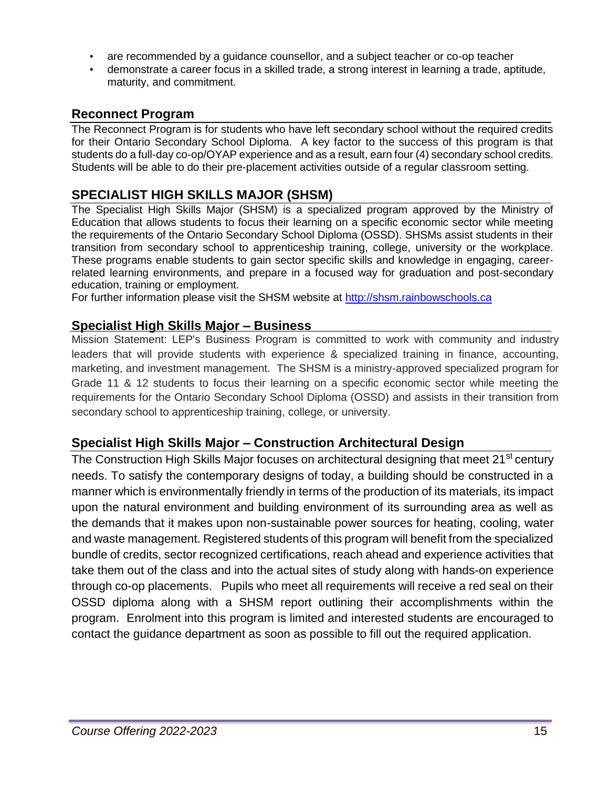- are recommended by a guidance counsellor, and a subject teacher or co-op teacher
- demonstrate a career focus in a skilled trade, a strong interest in learning a trade, aptitude, maturity, and commitment.

# **Reconnect Program**

The Reconnect Program is for students who have left secondary school without the required credits for their Ontario Secondary School Diploma. A key factor to the success of this program is that students do a full-day co-op/OYAP experience and as a result, earn four (4) secondary school credits. Students will be able to do their pre-placement activities outside of a regular classroom setting.

# **SPECIALIST HIGH SKILLS MAJOR (SHSM)**

The Specialist High Skills Major (SHSM) is a specialized program approved by the Ministry of Education that allows students to focus their learning on a specific economic sector while meeting the requirements of the Ontario Secondary School Diploma (OSSD). SHSMs assist students in their transition from secondary school to apprenticeship training, college, university or the workplace. These programs enable students to gain sector specific skills and knowledge in engaging, careerrelated learning environments, and prepare in a focused way for graduation and post-secondary education, training or employment.

For further information please visit the SHSM website at [http://shsm.rainbowschools.ca](http://shsm.rainbowschools.ca/)

# **Specialist High Skills Major – Business**

Mission Statement: LEP's Business Program is committed to work with community and industry leaders that will provide students with experience & specialized training in finance, accounting, marketing, and investment management. The SHSM is a ministry-approved specialized program for Grade 11 & 12 students to focus their learning on a specific economic sector while meeting the requirements for the Ontario Secondary School Diploma (OSSD) and assists in their transition from secondary school to apprenticeship training, college, or university.

# **Specialist High Skills Major – Construction Architectural Design**

The Construction High Skills Major focuses on architectural designing that meet 21<sup>st</sup> century needs. To satisfy the contemporary designs of today, a building should be constructed in a manner which is environmentally friendly in terms of the production of its materials, its impact upon the natural environment and building environment of its surrounding area as well as the demands that it makes upon non-sustainable power sources for heating, cooling, water and waste management. Registered students of this program will benefit from the specialized bundle of credits, sector recognized certifications, reach ahead and experience activities that take them out of the class and into the actual sites of study along with hands-on experience through co-op placements. Pupils who meet all requirements will receive a red seal on their OSSD diploma along with a SHSM report outlining their accomplishments within the program. Enrolment into this program is limited and interested students are encouraged to contact the guidance department as soon as possible to fill out the required application.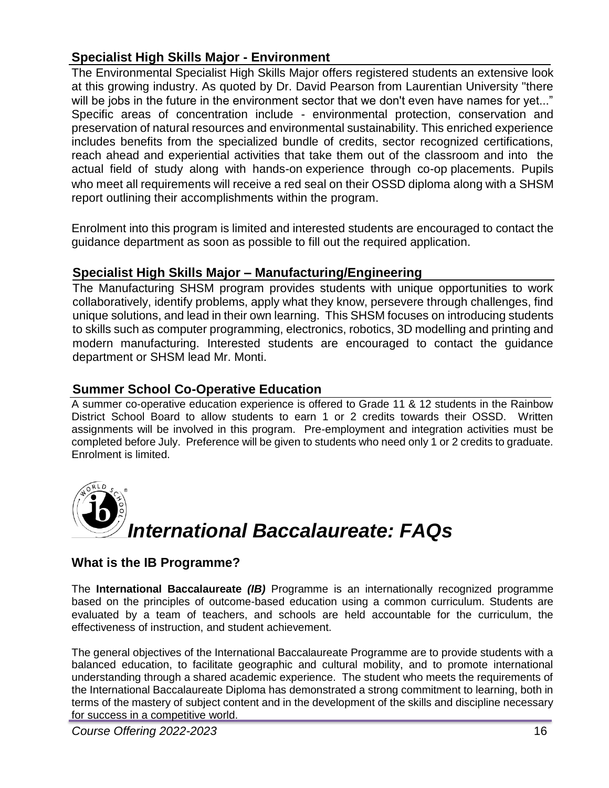# **Specialist High Skills Major - Environment**

The Environmental Specialist High Skills Major offers registered students an extensive look at this growing industry. As quoted by Dr. David Pearson from Laurentian University "there will be jobs in the future in the environment sector that we don't even have names for yet..." Specific areas of concentration include - environmental protection, conservation and preservation of natural resources and environmental sustainability. This enriched experience includes benefits from the specialized bundle of credits, sector recognized certifications, reach ahead and experiential activities that take them out of the classroom and into the actual field of study along with hands-on experience through co-op placements. Pupils who meet all requirements will receive a red seal on their OSSD diploma along with a SHSM report outlining their accomplishments within the program.

Enrolment into this program is limited and interested students are encouraged to contact the guidance department as soon as possible to fill out the required application.

# **Specialist High Skills Major – Manufacturing/Engineering**

The Manufacturing SHSM program provides students with unique opportunities to work collaboratively, identify problems, apply what they know, persevere through challenges, find unique solutions, and lead in their own learning. This SHSM focuses on introducing students to skills such as computer programming, electronics, robotics, 3D modelling and printing and modern manufacturing. Interested students are encouraged to contact the guidance department or SHSM lead Mr. Monti.

# **Summer School Co-Operative Education**

A summer co-operative education experience is offered to Grade 11 & 12 students in the Rainbow District School Board to allow students to earn 1 or 2 credits towards their OSSD. Written assignments will be involved in this program. Pre-employment and integration activities must be completed before July. Preference will be given to students who need only 1 or 2 credits to graduate. Enrolment is limited.



# **What is the IB Programme?**

The **International Baccalaureate** *(IB)* Programme is an internationally recognized programme based on the principles of outcome-based education using a common curriculum. Students are evaluated by a team of teachers, and schools are held accountable for the curriculum, the effectiveness of instruction, and student achievement.

The general objectives of the International Baccalaureate Programme are to provide students with a balanced education, to facilitate geographic and cultural mobility, and to promote international understanding through a shared academic experience. The student who meets the requirements of the International Baccalaureate Diploma has demonstrated a strong commitment to learning, both in terms of the mastery of subject content and in the development of the skills and discipline necessary for success in a competitive world.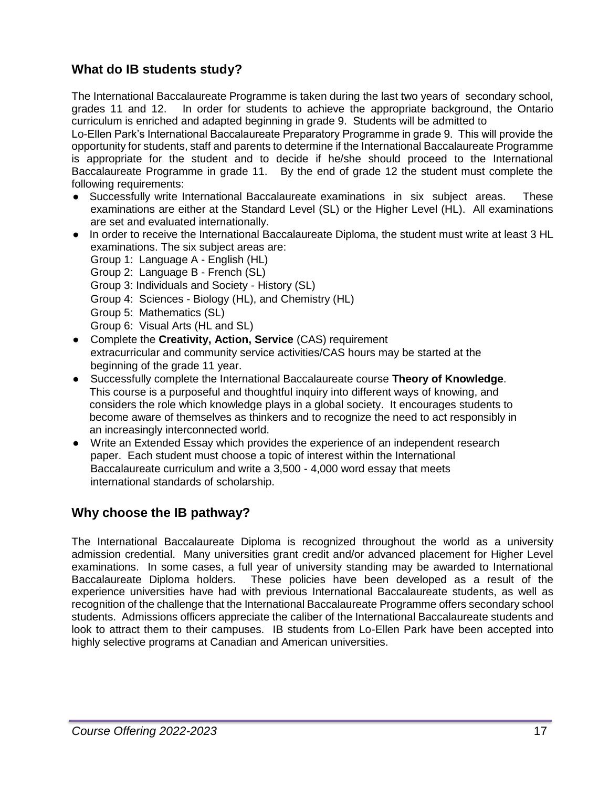# **What do IB students study?**

The International Baccalaureate Programme is taken during the last two years of secondary school, grades 11 and 12. In order for students to achieve the appropriate background, the Ontario curriculum is enriched and adapted beginning in grade 9. Students will be admitted to

Lo-Ellen Park's International Baccalaureate Preparatory Programme in grade 9. This will provide the opportunity for students, staff and parents to determine if the International Baccalaureate Programme is appropriate for the student and to decide if he/she should proceed to the International Baccalaureate Programme in grade 11. By the end of grade 12 the student must complete the following requirements:

- Successfully write International Baccalaureate examinations in six subject areas. These examinations are either at the Standard Level (SL) or the Higher Level (HL). All examinations are set and evaluated internationally.
- In order to receive the International Baccalaureate Diploma, the student must write at least 3 HL examinations. The six subject areas are:
	- Group 1: Language A English (HL)
	- Group 2: Language B French (SL)
	- Group 3: Individuals and Society History (SL)
	- Group 4: Sciences Biology (HL), and Chemistry (HL)
	- Group 5: Mathematics (SL)
	- Group 6: Visual Arts (HL and SL)
- Complete the **Creativity, Action, Service** (CAS) requirement extracurricular and community service activities/CAS hours may be started at the beginning of the grade 11 year.
- Successfully complete the International Baccalaureate course **Theory of Knowledge**. This course is a purposeful and thoughtful inquiry into different ways of knowing, and considers the role which knowledge plays in a global society. It encourages students to become aware of themselves as thinkers and to recognize the need to act responsibly in an increasingly interconnected world.
- Write an Extended Essay which provides the experience of an independent research paper. Each student must choose a topic of interest within the International Baccalaureate curriculum and write a 3,500 - 4,000 word essay that meets international standards of scholarship.

# **Why choose the IB pathway?**

The International Baccalaureate Diploma is recognized throughout the world as a university admission credential. Many universities grant credit and/or advanced placement for Higher Level examinations. In some cases, a full year of university standing may be awarded to International Baccalaureate Diploma holders. These policies have been developed as a result of the experience universities have had with previous International Baccalaureate students, as well as recognition of the challenge that the International Baccalaureate Programme offers secondary school students. Admissions officers appreciate the caliber of the International Baccalaureate students and look to attract them to their campuses. IB students from Lo-Ellen Park have been accepted into highly selective programs at Canadian and American universities.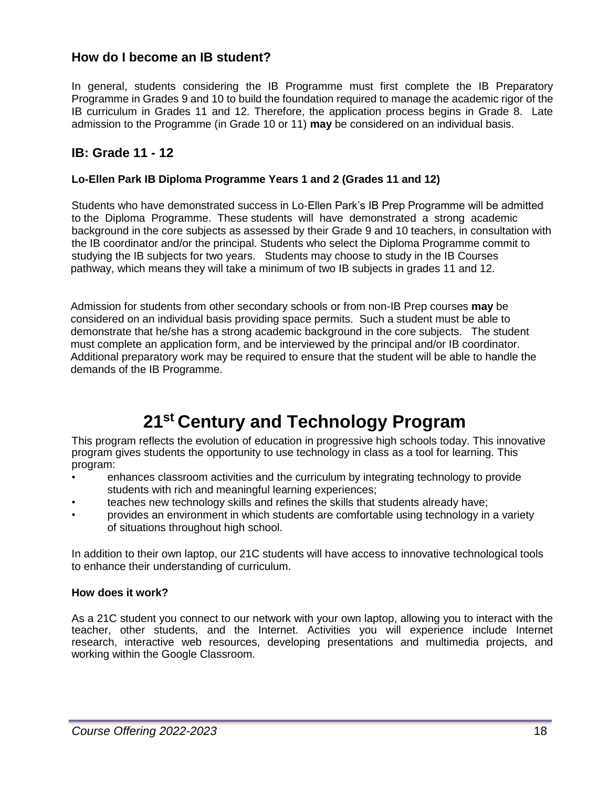# **How do I become an IB student?**

In general, students considering the IB Programme must first complete the IB Preparatory Programme in Grades 9 and 10 to build the foundation required to manage the academic rigor of the IB curriculum in Grades 11 and 12. Therefore, the application process begins in Grade 8. Late admission to the Programme (in Grade 10 or 11) **may** be considered on an individual basis.

# **IB: Grade 11 - 12**

#### **Lo-Ellen Park IB Diploma Programme Years 1 and 2 (Grades 11 and 12)**

Students who have demonstrated success in Lo-Ellen Park's IB Prep Programme will be admitted to the Diploma Programme. These students will have demonstrated a strong academic background in the core subjects as assessed by their Grade 9 and 10 teachers, in consultation with the IB coordinator and/or the principal. Students who select the Diploma Programme commit to studying the IB subjects for two years. Students may choose to study in the IB Courses pathway, which means they will take a minimum of two IB subjects in grades 11 and 12.

Admission for students from other secondary schools or from non-IB Prep courses **may** be considered on an individual basis providing space permits. Such a student must be able to demonstrate that he/she has a strong academic background in the core subjects. The student must complete an application form, and be interviewed by the principal and/or IB coordinator. Additional preparatory work may be required to ensure that the student will be able to handle the demands of the IB Programme.

# **21st Century and Technology Program**

This program reflects the evolution of education in progressive high schools today. This innovative program gives students the opportunity to use technology in class as a tool for learning. This program:

- enhances classroom activities and the curriculum by integrating technology to provide students with rich and meaningful learning experiences;
- teaches new technology skills and refines the skills that students already have;
- provides an environment in which students are comfortable using technology in a variety of situations throughout high school.

In addition to their own laptop, our 21C students will have access to innovative technological tools to enhance their understanding of curriculum.

#### **How does it work?**

As a 21C student you connect to our network with your own laptop, allowing you to interact with the teacher, other students, and the Internet. Activities you will experience include Internet research, interactive web resources, developing presentations and multimedia projects, and working within the Google Classroom.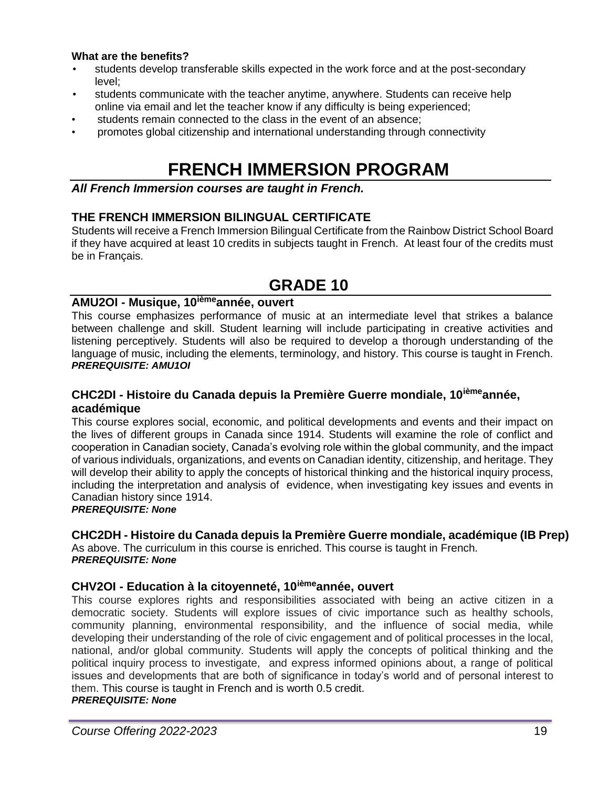#### **What are the benefits?**

- students develop transferable skills expected in the work force and at the post-secondary level;
- students communicate with the teacher anytime, anywhere. Students can receive help online via email and let the teacher know if any difficulty is being experienced;
- students remain connected to the class in the event of an absence;
- promotes global citizenship and international understanding through connectivity

# **FRENCH IMMERSION PROGRAM**

#### *All French Immersion courses are taught in French.*

# **THE FRENCH IMMERSION BILINGUAL CERTIFICATE**

Students will receive a French Immersion Bilingual Certificate from the Rainbow District School Board if they have acquired at least 10 credits in subjects taught in French. At least four of the credits must be in Français.

# **GRADE 10**

# **AMU2OI - Musique, 10ièmeannée, ouvert**

This course emphasizes performance of music at an intermediate level that strikes a balance between challenge and skill. Student learning will include participating in creative activities and listening perceptively. Students will also be required to develop a thorough understanding of the language of music, including the elements, terminology, and history. This course is taught in French. *PREREQUISITE: AMU1OI*

# **CHC2DI - Histoire du Canada depuis la Première Guerre mondiale, 10ièmeannée, académique**

This course explores social, economic, and political developments and events and their impact on the lives of different groups in Canada since 1914. Students will examine the role of conflict and cooperation in Canadian society, Canada's evolving role within the global community, and the impact of various individuals, organizations, and events on Canadian identity, citizenship, and heritage. They will develop their ability to apply the concepts of historical thinking and the historical inquiry process, including the interpretation and analysis of evidence, when investigating key issues and events in Canadian history since 1914.

#### *PREREQUISITE: None*

# **CHC2DH - Histoire du Canada depuis la Première Guerre mondiale, académique (IB Prep)**

As above. The curriculum in this course is enriched. This course is taught in French. *PREREQUISITE: None*

# **CHV2OI - Education à la citoyenneté, 10ièmeannée, ouvert**

This course explores rights and responsibilities associated with being an active citizen in a democratic society. Students will explore issues of civic importance such as healthy schools, community planning, environmental responsibility, and the influence of social media, while developing their understanding of the role of civic engagement and of political processes in the local, national, and/or global community. Students will apply the concepts of political thinking and the political inquiry process to investigate, and express informed opinions about, a range of political issues and developments that are both of significance in today's world and of personal interest to them. This course is taught in French and is worth 0.5 credit. *PREREQUISITE: None*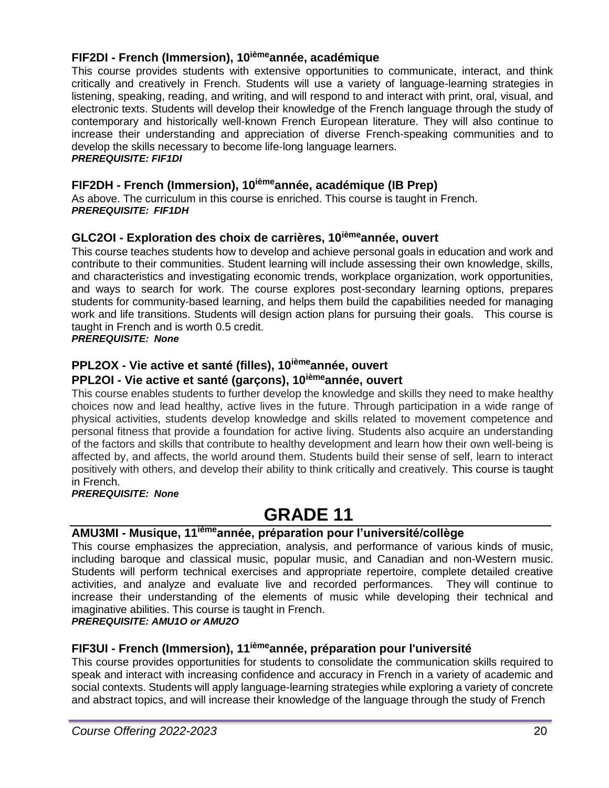# **FIF2DI - French (Immersion), 10ièmeannée, académique**

This course provides students with extensive opportunities to communicate, interact, and think critically and creatively in French. Students will use a variety of language-learning strategies in listening, speaking, reading, and writing, and will respond to and interact with print, oral, visual, and electronic texts. Students will develop their knowledge of the French language through the study of contemporary and historically well-known French European literature. They will also continue to increase their understanding and appreciation of diverse French-speaking communities and to develop the skills necessary to become life-long language learners.

# *PREREQUISITE: FIF1DI*

# **FIF2DH - French (Immersion), 10ièmeannée, académique (IB Prep)**

As above. The curriculum in this course is enriched. This course is taught in French. *PREREQUISITE: FIF1DH*

# **GLC2OI - Exploration des choix de carrières, 10ièmeannée, ouvert**

This course teaches students how to develop and achieve personal goals in education and work and contribute to their communities. Student learning will include assessing their own knowledge, skills, and characteristics and investigating economic trends, workplace organization, work opportunities, and ways to search for work. The course explores post-secondary learning options, prepares students for community-based learning, and helps them build the capabilities needed for managing work and life transitions. Students will design action plans for pursuing their goals. This course is taught in French and is worth 0.5 credit.

*PREREQUISITE: None*

# **PPL2OX - Vie active et santé (filles), 10ièmeannée, ouvert**

# **PPL2OI - Vie active et santé (garçons), 10ièmeannée, ouvert**

This course enables students to further develop the knowledge and skills they need to make healthy choices now and lead healthy, active lives in the future. Through participation in a wide range of physical activities, students develop knowledge and skills related to movement competence and personal fitness that provide a foundation for active living. Students also acquire an understanding of the factors and skills that contribute to healthy development and learn how their own well-being is affected by, and affects, the world around them. Students build their sense of self, learn to interact positively with others, and develop their ability to think critically and creatively. This course is taught in French.

*PREREQUISITE: None*

# **GRADE 11**

# **AMU3MI - Musique, 11ièmeannée, préparation pour l'université/collège**

This course emphasizes the appreciation, analysis, and performance of various kinds of music, including baroque and classical music, popular music, and Canadian and non-Western music. Students will perform technical exercises and appropriate repertoire, complete detailed creative activities, and analyze and evaluate live and recorded performances. They will continue to increase their understanding of the elements of music while developing their technical and imaginative abilities. This course is taught in French.

# *PREREQUISITE: AMU1O or AMU2O*

# **FIF3UI - French (Immersion), 11ièmeannée, préparation pour l'université**

This course provides opportunities for students to consolidate the communication skills required to speak and interact with increasing confidence and accuracy in French in a variety of academic and social contexts. Students will apply language-learning strategies while exploring a variety of concrete and abstract topics, and will increase their knowledge of the language through the study of French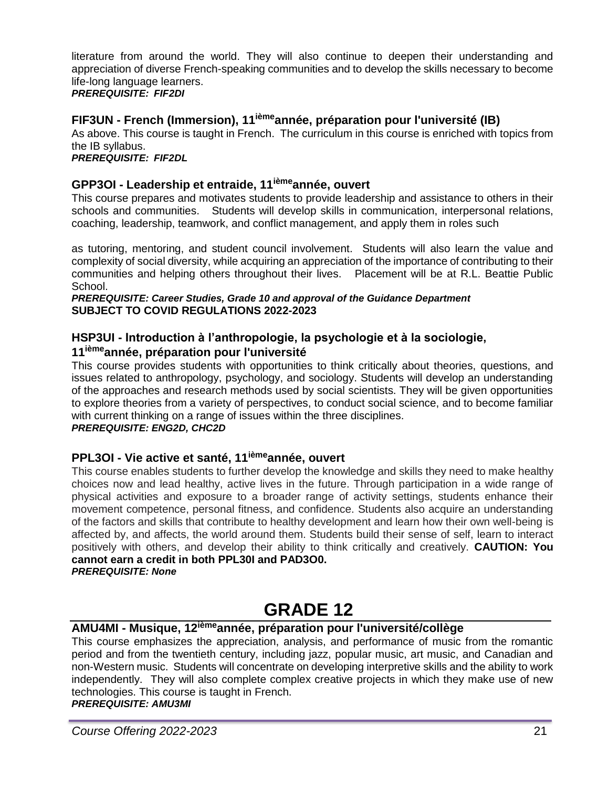literature from around the world. They will also continue to deepen their understanding and appreciation of diverse French-speaking communities and to develop the skills necessary to become life-long language learners.

#### *PREREQUISITE: FIF2DI*

# **FIF3UN - French (Immersion), 11ièmeannée, préparation pour l'université (IB)**

As above. This course is taught in French. The curriculum in this course is enriched with topics from the IB syllabus.

*PREREQUISITE: FIF2DL*

# **GPP3OI - Leadership et entraide, 11ièmeannée, ouvert**

This course prepares and motivates students to provide leadership and assistance to others in their schools and communities. Students will develop skills in communication, interpersonal relations, coaching, leadership, teamwork, and conflict management, and apply them in roles such

as tutoring, mentoring, and student council involvement. Students will also learn the value and complexity of social diversity, while acquiring an appreciation of the importance of contributing to their communities and helping others throughout their lives. Placement will be at R.L. Beattie Public School.

#### *PREREQUISITE: Career Studies, Grade 10 and approval of the Guidance Department* **SUBJECT TO COVID REGULATIONS 2022-2023**

# **HSP3UI - Introduction à l'anthropologie, la psychologie et à la sociologie, 11ièmeannée, préparation pour l'université**

This course provides students with opportunities to think critically about theories, questions, and issues related to anthropology, psychology, and sociology. Students will develop an understanding of the approaches and research methods used by social scientists. They will be given opportunities to explore theories from a variety of perspectives, to conduct social science, and to become familiar with current thinking on a range of issues within the three disciplines. *PREREQUISITE: ENG2D, CHC2D*

# **PPL3OI - Vie active et santé, 11ièmeannée, ouvert**

This course enables students to further develop the knowledge and skills they need to make healthy choices now and lead healthy, active lives in the future. Through participation in a wide range of physical activities and exposure to a broader range of activity settings, students enhance their movement competence, personal fitness, and confidence. Students also acquire an understanding of the factors and skills that contribute to healthy development and learn how their own well-being is affected by, and affects, the world around them. Students build their sense of self, learn to interact positively with others, and develop their ability to think critically and creatively. **CAUTION: You cannot earn a credit in both PPL30I and PAD3O0.**

#### *PREREQUISITE: None*

# **GRADE 12**

# **AMU4MI - Musique, 12ièmeannée, préparation pour l'université/collège**

This course emphasizes the appreciation, analysis, and performance of music from the romantic period and from the twentieth century, including jazz, popular music, art music, and Canadian and non-Western music. Students will concentrate on developing interpretive skills and the ability to work independently. They will also complete complex creative projects in which they make use of new technologies. This course is taught in French. *PREREQUISITE: AMU3MI*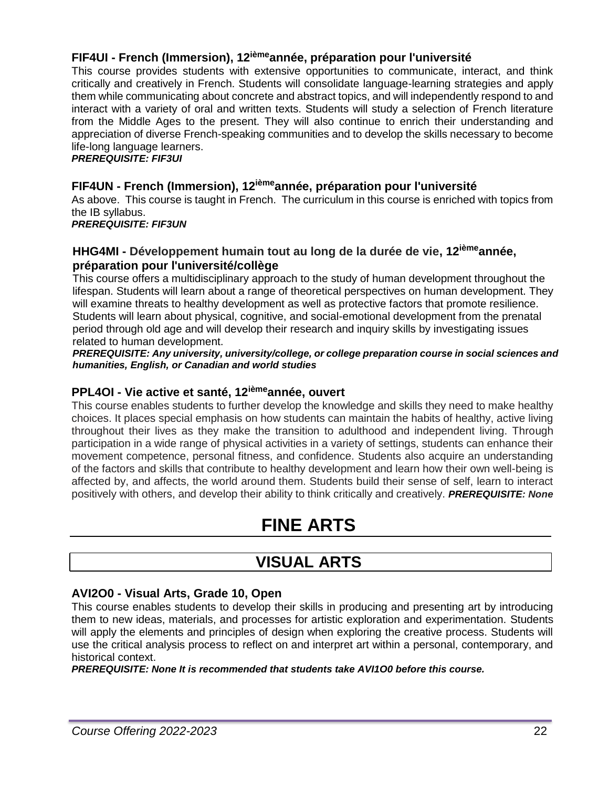# **FIF4UI - French (Immersion), 12ièmeannée, préparation pour l'université**

This course provides students with extensive opportunities to communicate, interact, and think critically and creatively in French. Students will consolidate language-learning strategies and apply them while communicating about concrete and abstract topics, and will independently respond to and interact with a variety of oral and written texts. Students will study a selection of French literature from the Middle Ages to the present. They will also continue to enrich their understanding and appreciation of diverse French-speaking communities and to develop the skills necessary to become life-long language learners.

*PREREQUISITE: FIF3UI*

# **FIF4UN - French (Immersion), 12ièmeannée, préparation pour l'université**

As above. This course is taught in French. The curriculum in this course is enriched with topics from the IB syllabus.

*PREREQUISITE: FIF3UN*

# **HHG4MI - Développement humain tout au long de la durée de vie, 12ièmeannée, préparation pour l'université/collège**

This course offers a multidisciplinary approach to the study of human development throughout the lifespan. Students will learn about a range of theoretical perspectives on human development. They will examine threats to healthy development as well as protective factors that promote resilience. Students will learn about physical, cognitive, and social-emotional development from the prenatal period through old age and will develop their research and inquiry skills by investigating issues related to human development.

*PREREQUISITE: Any university, university/college, or college preparation course in social sciences and humanities, English, or Canadian and world studies*

# **PPL4OI - Vie active et santé, 12ièmeannée, ouvert**

This course enables students to further develop the knowledge and skills they need to make healthy choices. It places special emphasis on how students can maintain the habits of healthy, active living throughout their lives as they make the transition to adulthood and independent living. Through participation in a wide range of physical activities in a variety of settings, students can enhance their movement competence, personal fitness, and confidence. Students also acquire an understanding of the factors and skills that contribute to healthy development and learn how their own well-being is affected by, and affects, the world around them. Students build their sense of self, learn to interact positively with others, and develop their ability to think critically and creatively. *PREREQUISITE: None*

# **FINE ARTS**

# **VISUAL ARTS**

# **AVI2O0 - Visual Arts, Grade 10, Open**

This course enables students to develop their skills in producing and presenting art by introducing them to new ideas, materials, and processes for artistic exploration and experimentation. Students will apply the elements and principles of design when exploring the creative process. Students will use the critical analysis process to reflect on and interpret art within a personal, contemporary, and historical context.

*PREREQUISITE: None It is recommended that students take AVI1O0 before this course.*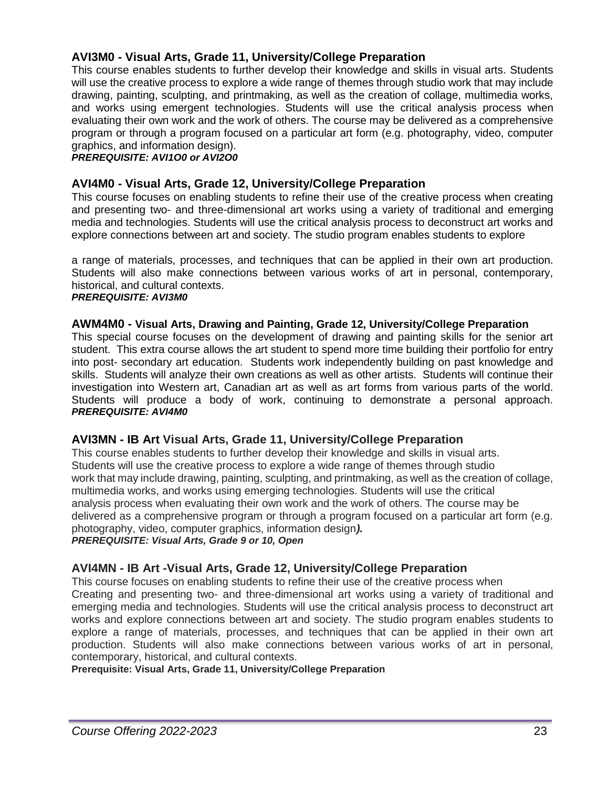# **AVI3M0 - Visual Arts, Grade 11, University/College Preparation**

This course enables students to further develop their knowledge and skills in visual arts. Students will use the creative process to explore a wide range of themes through studio work that may include drawing, painting, sculpting, and printmaking, as well as the creation of collage, multimedia works, and works using emergent technologies. Students will use the critical analysis process when evaluating their own work and the work of others. The course may be delivered as a comprehensive program or through a program focused on a particular art form (e.g. photography, video, computer graphics, and information design).

*PREREQUISITE: AVI1O0 or AVI2O0*

# **AVI4M0 - Visual Arts, Grade 12, University/College Preparation**

This course focuses on enabling students to refine their use of the creative process when creating and presenting two- and three-dimensional art works using a variety of traditional and emerging media and technologies. Students will use the critical analysis process to deconstruct art works and explore connections between art and society. The studio program enables students to explore

a range of materials, processes, and techniques that can be applied in their own art production. Students will also make connections between various works of art in personal, contemporary, historical, and cultural contexts. *PREREQUISITE: AVI3M0*

#### **AWM4M0 - Visual Arts, Drawing and Painting, Grade 12, University/College Preparation**

This special course focuses on the development of drawing and painting skills for the senior art student. This extra course allows the art student to spend more time building their portfolio for entry into post- secondary art education. Students work independently building on past knowledge and skills. Students will analyze their own creations as well as other artists. Students will continue their investigation into Western art, Canadian art as well as art forms from various parts of the world. Students will produce a body of work, continuing to demonstrate a personal approach. *PREREQUISITE: AVI4M0*

# **AVI3MN - IB Art Visual Arts, Grade 11, University/College Preparation**

This course enables students to further develop their knowledge and skills in visual arts. Students will use the creative process to explore a wide range of themes through studio work that may include drawing, painting, sculpting, and printmaking, as well as the creation of collage, multimedia works, and works using emerging technologies. Students will use the critical analysis process when evaluating their own work and the work of others. The course may be delivered as a comprehensive program or through a program focused on a particular art form (e.g. photography, video, computer graphics, information design*). PREREQUISITE: Visual Arts, Grade 9 or 10, Open*

# **AVI4MN - IB Art -Visual Arts, Grade 12, University/College Preparation**

This course focuses on enabling students to refine their use of the creative process when Creating and presenting two- and three-dimensional art works using a variety of traditional and emerging media and technologies. Students will use the critical analysis process to deconstruct art works and explore connections between art and society. The studio program enables students to explore a range of materials, processes, and techniques that can be applied in their own art production. Students will also make connections between various works of art in personal, contemporary, historical, and cultural contexts.

**Prerequisite: Visual Arts, Grade 11, University/College Preparation**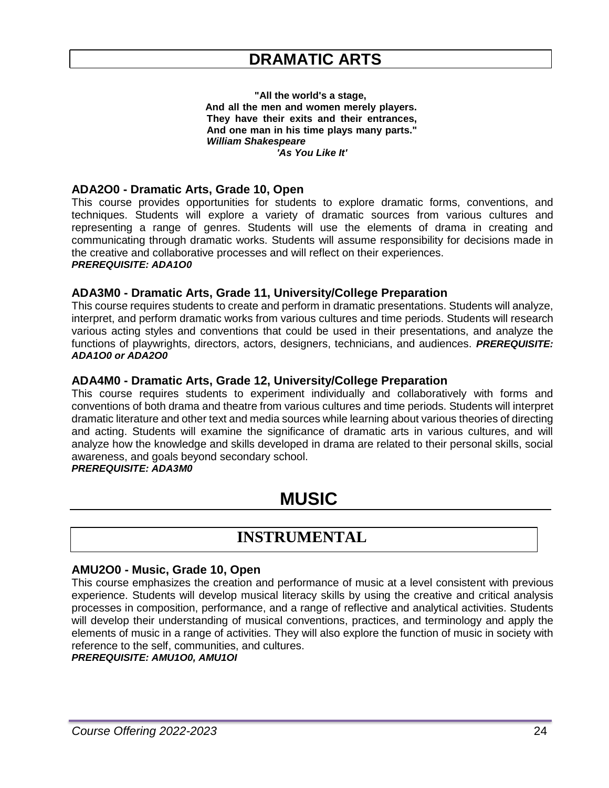**"All the world's a stage, And all the men and women merely players. They have their exits and their entrances, And one man in his time plays many parts."** *William Shakespeare 'As You Like It'*

#### **ADA2O0 - Dramatic Arts, Grade 10, Open**

This course provides opportunities for students to explore dramatic forms, conventions, and techniques. Students will explore a variety of dramatic sources from various cultures and representing a range of genres. Students will use the elements of drama in creating and communicating through dramatic works. Students will assume responsibility for decisions made in the creative and collaborative processes and will reflect on their experiences. *PREREQUISITE: ADA1O0*

#### **ADA3M0 - Dramatic Arts, Grade 11, University/College Preparation**

This course requires students to create and perform in dramatic presentations. Students will analyze, interpret, and perform dramatic works from various cultures and time periods. Students will research various acting styles and conventions that could be used in their presentations, and analyze the functions of playwrights, directors, actors, designers, technicians, and audiences. *PREREQUISITE: ADA1O0 or ADA2O0*

#### **ADA4M0 - Dramatic Arts, Grade 12, University/College Preparation**

This course requires students to experiment individually and collaboratively with forms and conventions of both drama and theatre from various cultures and time periods. Students will interpret dramatic literature and other text and media sources while learning about various theories of directing and acting. Students will examine the significance of dramatic arts in various cultures, and will analyze how the knowledge and skills developed in drama are related to their personal skills, social awareness, and goals beyond secondary school.

#### *PREREQUISITE: ADA3M0*

# **MUSIC**

# **INSTRUMENTAL**

#### **AMU2O0 - Music, Grade 10, Open**

This course emphasizes the creation and performance of music at a level consistent with previous experience. Students will develop musical literacy skills by using the creative and critical analysis processes in composition, performance, and a range of reflective and analytical activities. Students will develop their understanding of musical conventions, practices, and terminology and apply the elements of music in a range of activities. They will also explore the function of music in society with reference to the self, communities, and cultures.

*PREREQUISITE: AMU1O0, AMU1OI*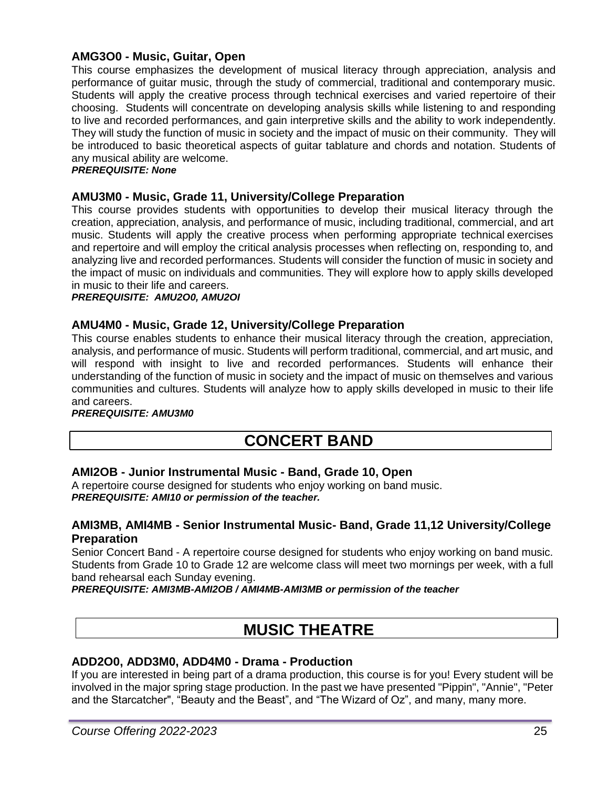# **AMG3O0 - Music, Guitar, Open**

This course emphasizes the development of musical literacy through appreciation, analysis and performance of guitar music, through the study of commercial, traditional and contemporary music. Students will apply the creative process through technical exercises and varied repertoire of their choosing. Students will concentrate on developing analysis skills while listening to and responding to live and recorded performances, and gain interpretive skills and the ability to work independently. They will study the function of music in society and the impact of music on their community. They will be introduced to basic theoretical aspects of guitar tablature and chords and notation. Students of any musical ability are welcome.

#### *PREREQUISITE: None*

#### **AMU3M0 - Music, Grade 11, University/College Preparation**

This course provides students with opportunities to develop their musical literacy through the creation, appreciation, analysis, and performance of music, including traditional, commercial, and art music. Students will apply the creative process when performing appropriate technical exercises and repertoire and will employ the critical analysis processes when reflecting on, responding to, and analyzing live and recorded performances. Students will consider the function of music in society and the impact of music on individuals and communities. They will explore how to apply skills developed in music to their life and careers.

#### *PREREQUISITE: AMU2O0, AMU2OI*

#### **AMU4M0 - Music, Grade 12, University/College Preparation**

This course enables students to enhance their musical literacy through the creation, appreciation, analysis, and performance of music. Students will perform traditional, commercial, and art music, and will respond with insight to live and recorded performances. Students will enhance their understanding of the function of music in society and the impact of music on themselves and various communities and cultures. Students will analyze how to apply skills developed in music to their life and careers.

#### *PREREQUISITE: AMU3M0*

# **CONCERT BAND**

# **AMI2OB - Junior Instrumental Music - Band, Grade 10, Open**

A repertoire course designed for students who enjoy working on band music. *PREREQUISITE: AMI10 or permission of the teacher.*

#### **AMI3MB, AMI4MB - Senior Instrumental Music- Band, Grade 11,12 University/College Preparation**

Senior Concert Band - A repertoire course designed for students who enjoy working on band music. Students from Grade 10 to Grade 12 are welcome class will meet two mornings per week, with a full band rehearsal each Sunday evening.

*PREREQUISITE: AMI3MB-AMI2OB / AMI4MB-AMI3MB or permission of the teacher*

# **MUSIC THEATRE**

# **ADD2O0, ADD3M0, ADD4M0 - Drama - Production**

If you are interested in being part of a drama production, this course is for you! Every student will be involved in the major spring stage production. In the past we have presented "Pippin", "Annie", "Peter and the Starcatcher", "Beauty and the Beast", and "The Wizard of Oz", and many, many more.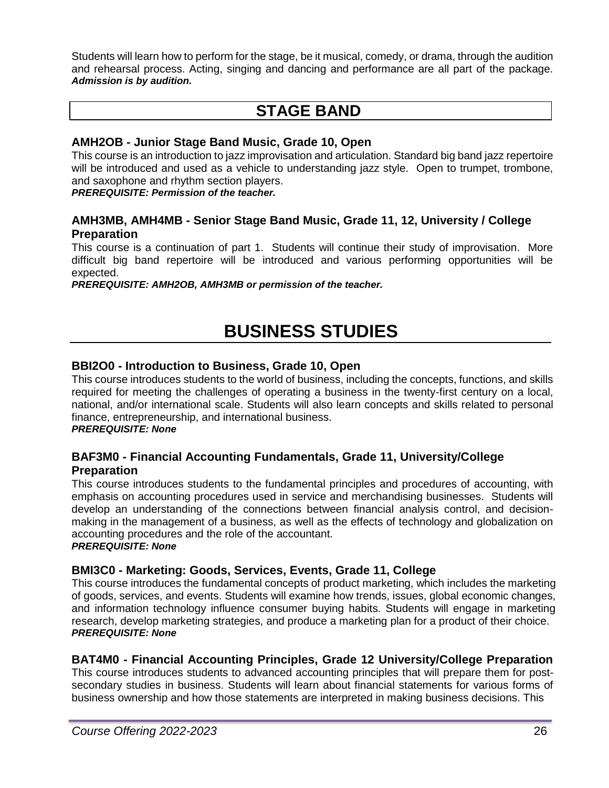Students will learn how to perform for the stage, be it musical, comedy, or drama, through the audition and rehearsal process. Acting, singing and dancing and performance are all part of the package. *Admission is by audition.*

# **STAGE BAND**

# **AMH2OB - Junior Stage Band Music, Grade 10, Open**

This course is an introduction to jazz improvisation and articulation. Standard big band jazz repertoire will be introduced and used as a vehicle to understanding jazz style. Open to trumpet, trombone, and saxophone and rhythm section players.

*PREREQUISITE: Permission of the teacher.*

# **AMH3MB, AMH4MB - Senior Stage Band Music, Grade 11, 12, University / College Preparation**

This course is a continuation of part 1. Students will continue their study of improvisation. More difficult big band repertoire will be introduced and various performing opportunities will be expected.

*PREREQUISITE: AMH2OB, AMH3MB or permission of the teacher.*

# **BUSINESS STUDIES**

# **BBI2O0 - Introduction to Business, Grade 10, Open**

This course introduces students to the world of business, including the concepts, functions, and skills required for meeting the challenges of operating a business in the twenty-first century on a local, national, and/or international scale. Students will also learn concepts and skills related to personal finance, entrepreneurship, and international business. *PREREQUISITE: None*

# **BAF3M0 - Financial Accounting Fundamentals, Grade 11, University/College**

# **Preparation**

This course introduces students to the fundamental principles and procedures of accounting, with emphasis on accounting procedures used in service and merchandising businesses. Students will develop an understanding of the connections between financial analysis control, and decisionmaking in the management of a business, as well as the effects of technology and globalization on accounting procedures and the role of the accountant. *PREREQUISITE: None*

# **BMI3C0 - Marketing: Goods, Services, Events, Grade 11, College**

This course introduces the fundamental concepts of product marketing, which includes the marketing of goods, services, and events. Students will examine how trends, issues, global economic changes, and information technology influence consumer buying habits. Students will engage in marketing research, develop marketing strategies, and produce a marketing plan for a product of their choice. *PREREQUISITE: None*

# **BAT4M0 - Financial Accounting Principles, Grade 12 University/College Preparation**

This course introduces students to advanced accounting principles that will prepare them for postsecondary studies in business. Students will learn about financial statements for various forms of business ownership and how those statements are interpreted in making business decisions. This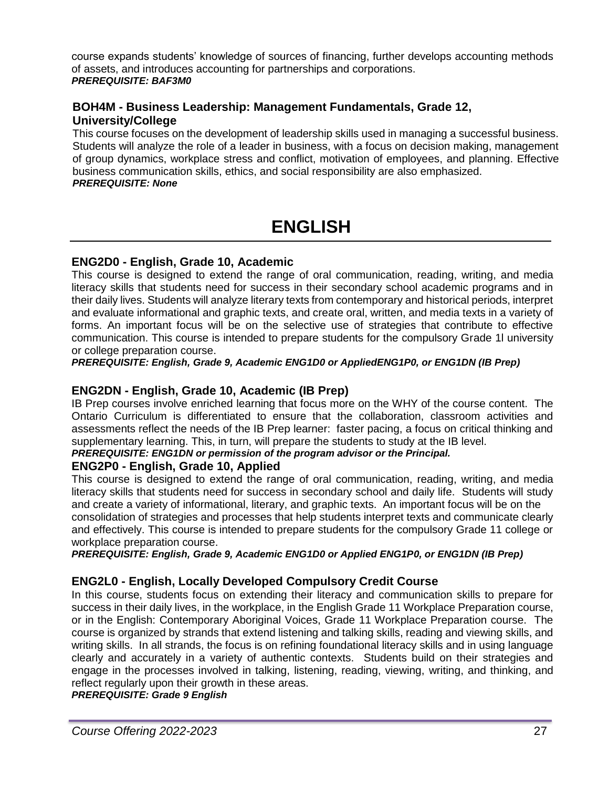course expands students' knowledge of sources of financing, further develops accounting methods of assets, and introduces accounting for partnerships and corporations. *PREREQUISITE: BAF3M0*

# **BOH4M - Business Leadership: Management Fundamentals, Grade 12, University/College**

This course focuses on the development of leadership skills used in managing a successful business. Students will analyze the role of a leader in business, with a focus on decision making, management of group dynamics, workplace stress and conflict, motivation of employees, and planning. Effective business communication skills, ethics, and social responsibility are also emphasized. *PREREQUISITE: None*

# **ENGLISH**

# **ENG2D0 - English, Grade 10, Academic**

This course is designed to extend the range of oral communication, reading, writing, and media literacy skills that students need for success in their secondary school academic programs and in their daily lives. Students will analyze literary texts from contemporary and historical periods, interpret and evaluate informational and graphic texts, and create oral, written, and media texts in a variety of forms. An important focus will be on the selective use of strategies that contribute to effective communication. This course is intended to prepare students for the compulsory Grade 1l university or college preparation course.

*PREREQUISITE: English, Grade 9, Academic ENG1D0 or AppliedENG1P0, or ENG1DN (IB Prep)*

# **ENG2DN - English, Grade 10, Academic (IB Prep)**

IB Prep courses involve enriched learning that focus more on the WHY of the course content. The Ontario Curriculum is differentiated to ensure that the collaboration, classroom activities and assessments reflect the needs of the IB Prep learner: faster pacing, a focus on critical thinking and supplementary learning. This, in turn, will prepare the students to study at the IB level.

*PREREQUISITE: ENG1DN or permission of the program advisor or the Principal.*

# **ENG2P0 - English, Grade 10, Applied**

This course is designed to extend the range of oral communication, reading, writing, and media literacy skills that students need for success in secondary school and daily life. Students will study and create a variety of informational, literary, and graphic texts. An important focus will be on the consolidation of strategies and processes that help students interpret texts and communicate clearly and effectively. This course is intended to prepare students for the compulsory Grade 11 college or workplace preparation course.

*PREREQUISITE: English, Grade 9, Academic ENG1D0 or Applied ENG1P0, or ENG1DN (IB Prep)*

# **ENG2L0 - English, Locally Developed Compulsory Credit Course**

In this course, students focus on extending their literacy and communication skills to prepare for success in their daily lives, in the workplace, in the English Grade 11 Workplace Preparation course, or in the English: Contemporary Aboriginal Voices, Grade 11 Workplace Preparation course. The course is organized by strands that extend listening and talking skills, reading and viewing skills, and writing skills. In all strands, the focus is on refining foundational literacy skills and in using language clearly and accurately in a variety of authentic contexts. Students build on their strategies and engage in the processes involved in talking, listening, reading, viewing, writing, and thinking, and reflect regularly upon their growth in these areas.

*PREREQUISITE: Grade 9 English*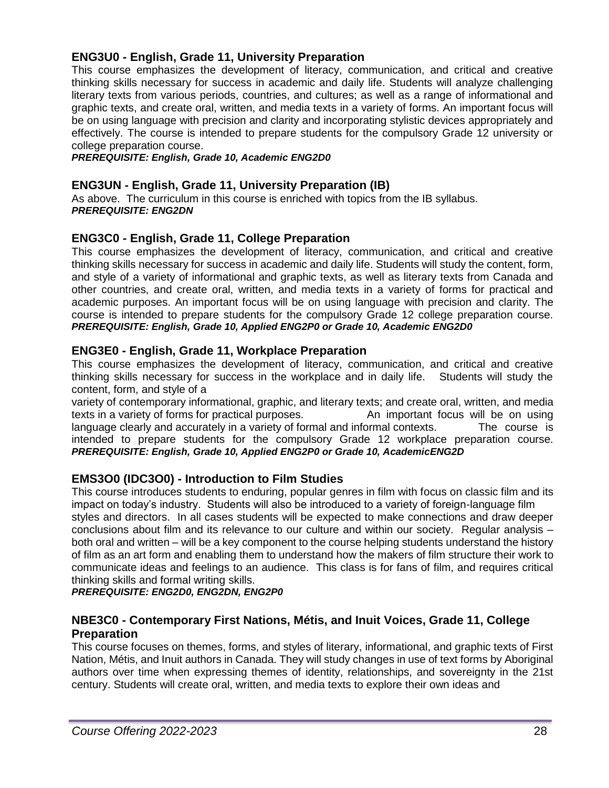# **ENG3U0 - English, Grade 11, University Preparation**

This course emphasizes the development of literacy, communication, and critical and creative thinking skills necessary for success in academic and daily life. Students will analyze challenging literary texts from various periods, countries, and cultures; as well as a range of informational and graphic texts, and create oral, written, and media texts in a variety of forms. An important focus will be on using language with precision and clarity and incorporating stylistic devices appropriately and effectively. The course is intended to prepare students for the compulsory Grade 12 university or college preparation course.

*PREREQUISITE: English, Grade 10, Academic ENG2D0*

#### **ENG3UN - English, Grade 11, University Preparation (IB)**

As above. The curriculum in this course is enriched with topics from the IB syllabus. *PREREQUISITE: ENG2DN*

# **ENG3C0 - English, Grade 11, College Preparation**

This course emphasizes the development of literacy, communication, and critical and creative thinking skills necessary for success in academic and daily life. Students will study the content, form, and style of a variety of informational and graphic texts, as well as literary texts from Canada and other countries, and create oral, written, and media texts in a variety of forms for practical and academic purposes. An important focus will be on using language with precision and clarity. The course is intended to prepare students for the compulsory Grade 12 college preparation course. *PREREQUISITE: English, Grade 10, Applied ENG2P0 or Grade 10, Academic ENG2D0*

#### **ENG3E0 - English, Grade 11, Workplace Preparation**

This course emphasizes the development of literacy, communication, and critical and creative thinking skills necessary for success in the workplace and in daily life. Students will study the content, form, and style of a

variety of contemporary informational, graphic, and literary texts; and create oral, written, and media texts in a variety of forms for practical purposes. An important focus will be on using language clearly and accurately in a variety of formal and informal contexts. The course is intended to prepare students for the compulsory Grade 12 workplace preparation course. *PREREQUISITE: English, Grade 10, Applied ENG2P0 or Grade 10, AcademicENG2D*

# **EMS3O0 (IDC3O0) - Introduction to Film Studies**

This course introduces students to enduring, popular genres in film with focus on classic film and its impact on today's industry. Students will also be introduced to a variety of foreign-language film styles and directors. In all cases students will be expected to make connections and draw deeper conclusions about film and its relevance to our culture and within our society. Regular analysis – both oral and written – will be a key component to the course helping students understand the history of film as an art form and enabling them to understand how the makers of film structure their work to communicate ideas and feelings to an audience. This class is for fans of film, and requires critical thinking skills and formal writing skills.

*PREREQUISITE: ENG2D0, ENG2DN, ENG2P0*

# **NBE3C0 - Contemporary First Nations, Métis, and Inuit Voices, Grade 11, College Preparation**

This course focuses on themes, forms, and styles of literary, informational, and graphic texts of First Nation, Métis, and Inuit authors in Canada. They will study changes in use of text forms by Aboriginal authors over time when expressing themes of identity, relationships, and sovereignty in the 21st century. Students will create oral, written, and media texts to explore their own ideas and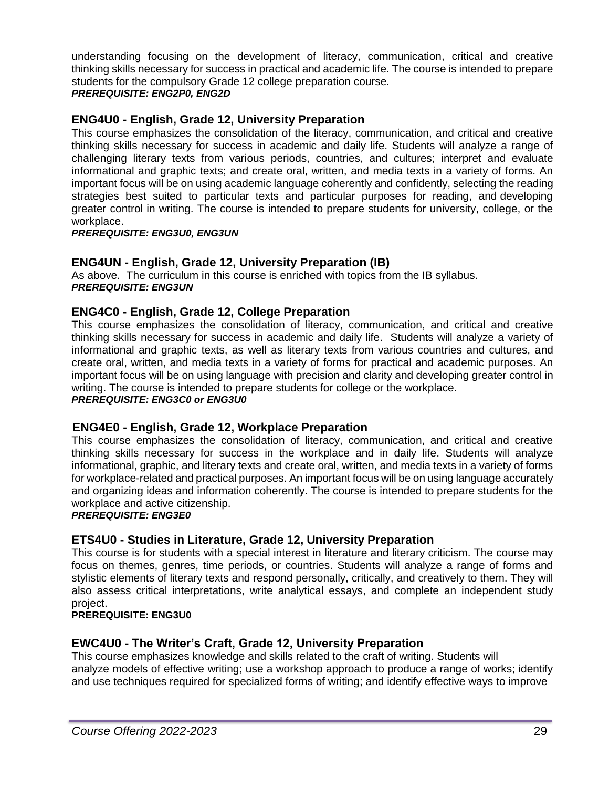understanding focusing on the development of literacy, communication, critical and creative thinking skills necessary for success in practical and academic life. The course is intended to prepare students for the compulsory Grade 12 college preparation course.

# *PREREQUISITE: ENG2P0, ENG2D*

# **ENG4U0 - English, Grade 12, University Preparation**

This course emphasizes the consolidation of the literacy, communication, and critical and creative thinking skills necessary for success in academic and daily life. Students will analyze a range of challenging literary texts from various periods, countries, and cultures; interpret and evaluate informational and graphic texts; and create oral, written, and media texts in a variety of forms. An important focus will be on using academic language coherently and confidently, selecting the reading strategies best suited to particular texts and particular purposes for reading, and developing greater control in writing. The course is intended to prepare students for university, college, or the workplace.

*PREREQUISITE: ENG3U0, ENG3UN*

# **ENG4UN - English, Grade 12, University Preparation (IB)**

As above. The curriculum in this course is enriched with topics from the IB syllabus. *PREREQUISITE: ENG3UN*

# **ENG4C0 - English, Grade 12, College Preparation**

This course emphasizes the consolidation of literacy, communication, and critical and creative thinking skills necessary for success in academic and daily life. Students will analyze a variety of informational and graphic texts, as well as literary texts from various countries and cultures, and create oral, written, and media texts in a variety of forms for practical and academic purposes. An important focus will be on using language with precision and clarity and developing greater control in writing. The course is intended to prepare students for college or the workplace.

*PREREQUISITE: ENG3C0 or ENG3U0*

# **ENG4E0 - English, Grade 12, Workplace Preparation**

This course emphasizes the consolidation of literacy, communication, and critical and creative thinking skills necessary for success in the workplace and in daily life. Students will analyze informational, graphic, and literary texts and create oral, written, and media texts in a variety of forms for workplace-related and practical purposes. An important focus will be on using language accurately and organizing ideas and information coherently. The course is intended to prepare students for the workplace and active citizenship.

#### *PREREQUISITE: ENG3E0*

# **ETS4U0 - Studies in Literature, Grade 12, University Preparation**

This course is for students with a special interest in literature and literary criticism. The course may focus on themes, genres, time periods, or countries. Students will analyze a range of forms and stylistic elements of literary texts and respond personally, critically, and creatively to them. They will also assess critical interpretations, write analytical essays, and complete an independent study project.

#### **PREREQUISITE: ENG3U0**

# **EWC4U0 - The Writer's Craft, Grade 12, University Preparation**

This course emphasizes knowledge and skills related to the craft of writing. Students will analyze models of effective writing; use a workshop approach to produce a range of works; identify and use techniques required for specialized forms of writing; and identify effective ways to improve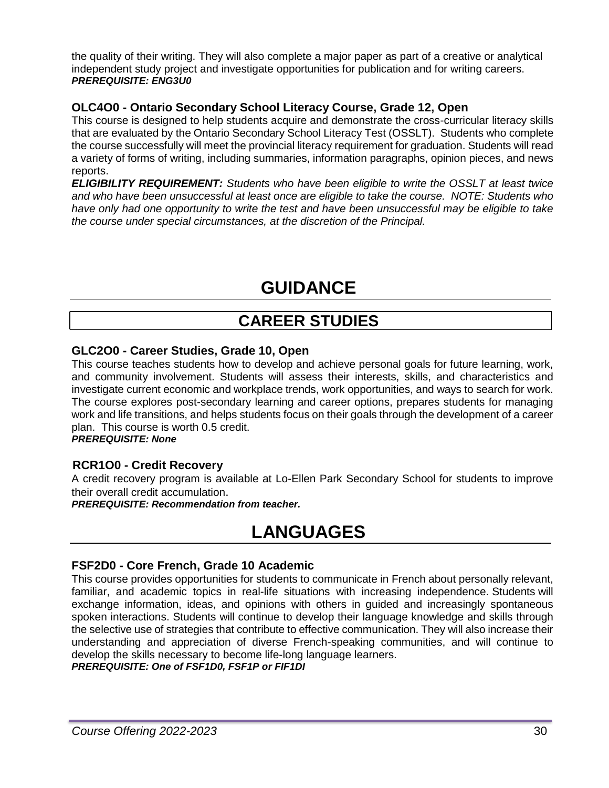the quality of their writing. They will also complete a major paper as part of a creative or analytical independent study project and investigate opportunities for publication and for writing careers. *PREREQUISITE: ENG3U0*

# **OLC4O0 - Ontario Secondary School Literacy Course, Grade 12, Open**

This course is designed to help students acquire and demonstrate the cross-curricular literacy skills that are evaluated by the Ontario Secondary School Literacy Test (OSSLT). Students who complete the course successfully will meet the provincial literacy requirement for graduation. Students will read a variety of forms of writing, including summaries, information paragraphs, opinion pieces, and news reports.

*ELIGIBILITY REQUIREMENT: Students who have been eligible to write the OSSLT at least twice and who have been unsuccessful at least once are eligible to take the course. NOTE: Students who have only had one opportunity to write the test and have been unsuccessful may be eligible to take the course under special circumstances, at the discretion of the Principal.*

# **GUIDANCE**

# **CAREER STUDIES**

# **GLC2O0 - Career Studies, Grade 10, Open**

This course teaches students how to develop and achieve personal goals for future learning, work, and community involvement. Students will assess their interests, skills, and characteristics and investigate current economic and workplace trends, work opportunities, and ways to search for work. The course explores post-secondary learning and career options, prepares students for managing work and life transitions, and helps students focus on their goals through the development of a career plan. This course is worth 0.5 credit.

*PREREQUISITE: None*

# **RCR1O0 - Credit Recovery**

A credit recovery program is available at Lo-Ellen Park Secondary School for students to improve their overall credit accumulation.

*PREREQUISITE: Recommendation from teacher.*

# **LANGUAGES**

# **FSF2D0 - Core French, Grade 10 Academic**

This course provides opportunities for students to communicate in French about personally relevant, familiar, and academic topics in real-life situations with increasing independence. Students will exchange information, ideas, and opinions with others in guided and increasingly spontaneous spoken interactions. Students will continue to develop their language knowledge and skills through the selective use of strategies that contribute to effective communication. They will also increase their understanding and appreciation of diverse French-speaking communities, and will continue to develop the skills necessary to become life-long language learners.

*PREREQUISITE: One of FSF1D0, FSF1P or FIF1DI*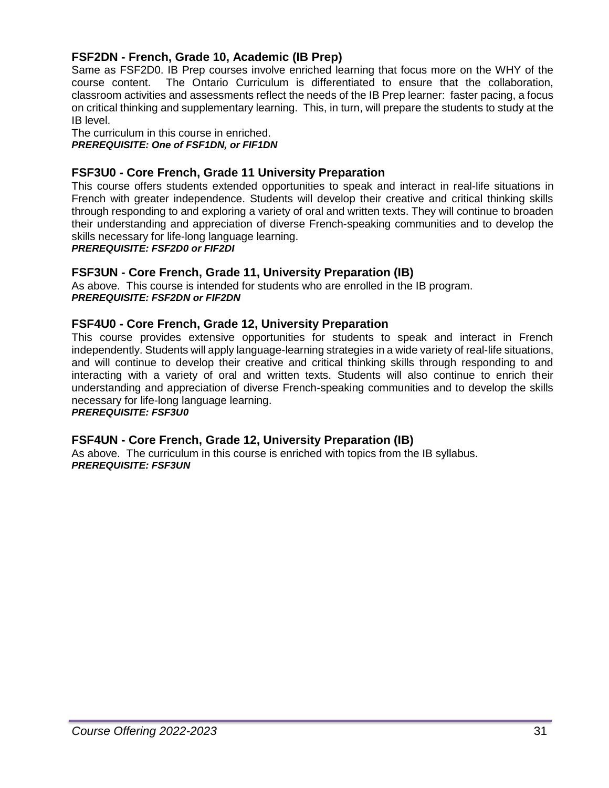# **FSF2DN - French, Grade 10, Academic (IB Prep)**

Same as FSF2D0. IB Prep courses involve enriched learning that focus more on the WHY of the course content. The Ontario Curriculum is differentiated to ensure that the collaboration, classroom activities and assessments reflect the needs of the IB Prep learner: faster pacing, a focus on critical thinking and supplementary learning. This, in turn, will prepare the students to study at the IB level.

The curriculum in this course in enriched. *PREREQUISITE: One of FSF1DN, or FIF1DN*

# **FSF3U0 - Core French, Grade 11 University Preparation**

This course offers students extended opportunities to speak and interact in real-life situations in French with greater independence. Students will develop their creative and critical thinking skills through responding to and exploring a variety of oral and written texts. They will continue to broaden their understanding and appreciation of diverse French-speaking communities and to develop the skills necessary for life-long language learning.

*PREREQUISITE: FSF2D0 or FIF2DI*

#### **FSF3UN - Core French, Grade 11, University Preparation (IB)**

As above. This course is intended for students who are enrolled in the IB program. *PREREQUISITE: FSF2DN or FIF2DN*

#### **FSF4U0 - Core French, Grade 12, University Preparation**

This course provides extensive opportunities for students to speak and interact in French independently. Students will apply language-learning strategies in a wide variety of real-life situations, and will continue to develop their creative and critical thinking skills through responding to and interacting with a variety of oral and written texts. Students will also continue to enrich their understanding and appreciation of diverse French-speaking communities and to develop the skills necessary for life-long language learning.

*PREREQUISITE: FSF3U0*

#### **FSF4UN - Core French, Grade 12, University Preparation (IB)**

As above. The curriculum in this course is enriched with topics from the IB syllabus. *PREREQUISITE: FSF3UN*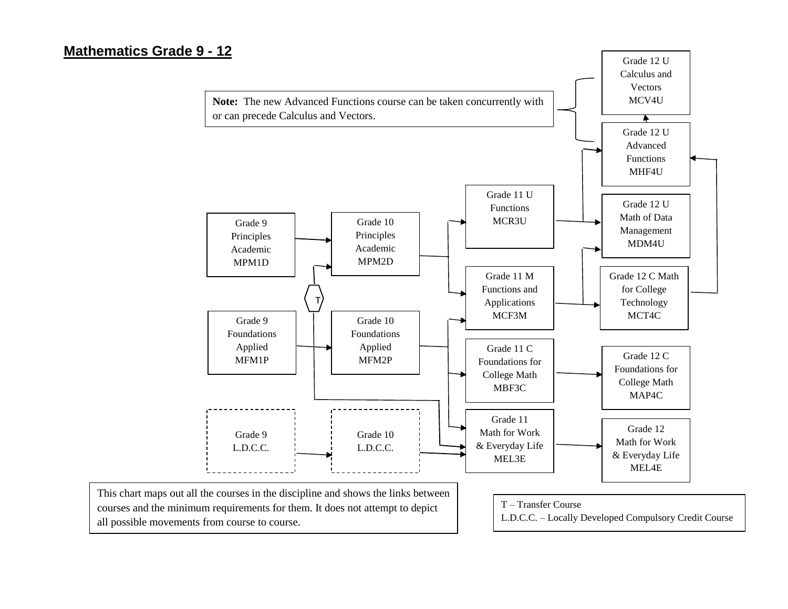# **Mathematics Grade 9 - 12**

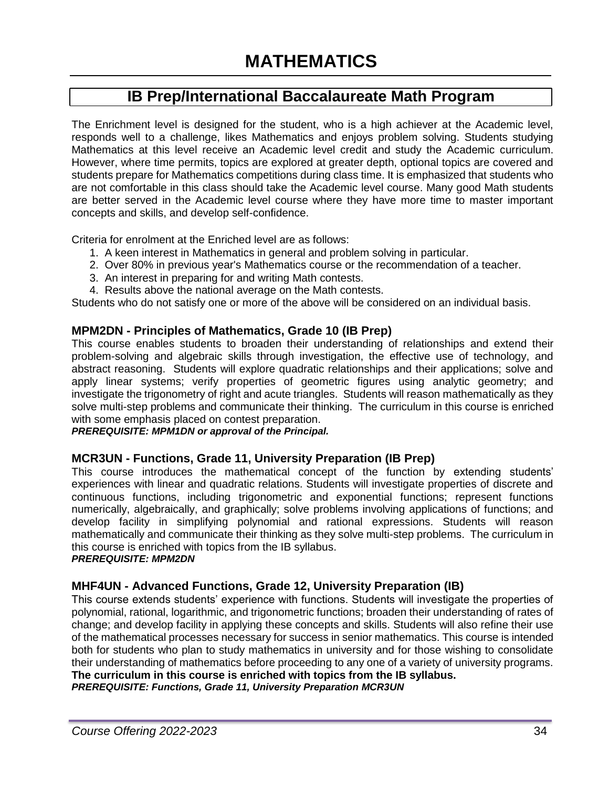# **IB Prep/International Baccalaureate Math Program**

The Enrichment level is designed for the student, who is a high achiever at the Academic level, responds well to a challenge, likes Mathematics and enjoys problem solving. Students studying Mathematics at this level receive an Academic level credit and study the Academic curriculum. However, where time permits, topics are explored at greater depth, optional topics are covered and students prepare for Mathematics competitions during class time. It is emphasized that students who are not comfortable in this class should take the Academic level course. Many good Math students are better served in the Academic level course where they have more time to master important concepts and skills, and develop self-confidence.

Criteria for enrolment at the Enriched level are as follows:

- 1. A keen interest in Mathematics in general and problem solving in particular.
- 2. Over 80% in previous year's Mathematics course or the recommendation of a teacher.
- 3. An interest in preparing for and writing Math contests.
- 4. Results above the national average on the Math contests.

Students who do not satisfy one or more of the above will be considered on an individual basis.

#### **MPM2DN - Principles of Mathematics, Grade 10 (IB Prep)**

This course enables students to broaden their understanding of relationships and extend their problem-solving and algebraic skills through investigation, the effective use of technology, and abstract reasoning. Students will explore quadratic relationships and their applications; solve and apply linear systems; verify properties of geometric figures using analytic geometry; and investigate the trigonometry of right and acute triangles. Students will reason mathematically as they solve multi-step problems and communicate their thinking. The curriculum in this course is enriched with some emphasis placed on contest preparation.

*PREREQUISITE: MPM1DN or approval of the Principal.*

#### **MCR3UN - Functions, Grade 11, University Preparation (IB Prep)**

This course introduces the mathematical concept of the function by extending students' experiences with linear and quadratic relations. Students will investigate properties of discrete and continuous functions, including trigonometric and exponential functions; represent functions numerically, algebraically, and graphically; solve problems involving applications of functions; and develop facility in simplifying polynomial and rational expressions. Students will reason mathematically and communicate their thinking as they solve multi-step problems. The curriculum in this course is enriched with topics from the IB syllabus. *PREREQUISITE: MPM2DN*

# **MHF4UN - Advanced Functions, Grade 12, University Preparation (IB)**

This course extends students' experience with functions. Students will investigate the properties of polynomial, rational, logarithmic, and trigonometric functions; broaden their understanding of rates of change; and develop facility in applying these concepts and skills. Students will also refine their use of the mathematical processes necessary for success in senior mathematics. This course is intended both for students who plan to study mathematics in university and for those wishing to consolidate their understanding of mathematics before proceeding to any one of a variety of university programs. **The curriculum in this course is enriched with topics from the IB syllabus.**

*PREREQUISITE: Functions, Grade 11, University Preparation MCR3UN*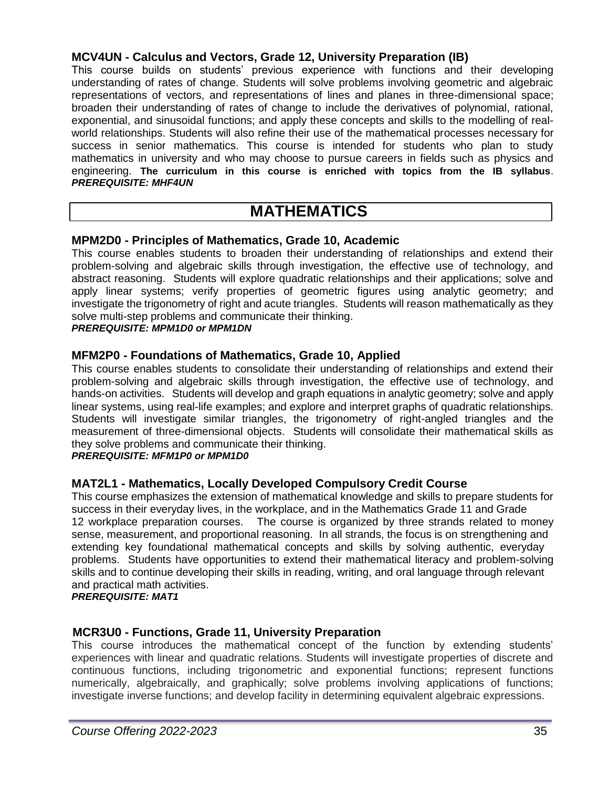# **MCV4UN - Calculus and Vectors, Grade 12, University Preparation (IB)**

This course builds on students' previous experience with functions and their developing understanding of rates of change. Students will solve problems involving geometric and algebraic representations of vectors, and representations of lines and planes in three-dimensional space; broaden their understanding of rates of change to include the derivatives of polynomial, rational, exponential, and sinusoidal functions; and apply these concepts and skills to the modelling of realworld relationships. Students will also refine their use of the mathematical processes necessary for success in senior mathematics. This course is intended for students who plan to study mathematics in university and who may choose to pursue careers in fields such as physics and engineering. **The curriculum in this course is enriched with topics from the IB syllabus**. *PREREQUISITE: MHF4UN*

# **MATHEMATICS**

# **MPM2D0 - Principles of Mathematics, Grade 10, Academic**

This course enables students to broaden their understanding of relationships and extend their problem-solving and algebraic skills through investigation, the effective use of technology, and abstract reasoning. Students will explore quadratic relationships and their applications; solve and apply linear systems; verify properties of geometric figures using analytic geometry; and investigate the trigonometry of right and acute triangles. Students will reason mathematically as they solve multi-step problems and communicate their thinking.

#### *PREREQUISITE: MPM1D0 or MPM1DN*

# **MFM2P0 - Foundations of Mathematics, Grade 10, Applied**

This course enables students to consolidate their understanding of relationships and extend their problem-solving and algebraic skills through investigation, the effective use of technology, and hands-on activities. Students will develop and graph equations in analytic geometry; solve and apply linear systems, using real-life examples; and explore and interpret graphs of quadratic relationships. Students will investigate similar triangles, the trigonometry of right-angled triangles and the measurement of three-dimensional objects. Students will consolidate their mathematical skills as they solve problems and communicate their thinking.

#### *PREREQUISITE: MFM1P0 or MPM1D0*

# **MAT2L1 - Mathematics, Locally Developed Compulsory Credit Course**

This course emphasizes the extension of mathematical knowledge and skills to prepare students for success in their everyday lives, in the workplace, and in the Mathematics Grade 11 and Grade 12 workplace preparation courses. The course is organized by three strands related to money sense, measurement, and proportional reasoning. In all strands, the focus is on strengthening and extending key foundational mathematical concepts and skills by solving authentic, everyday problems. Students have opportunities to extend their mathematical literacy and problem-solving skills and to continue developing their skills in reading, writing, and oral language through relevant and practical math activities.

*PREREQUISITE: MAT1*

# **MCR3U0 - Functions, Grade 11, University Preparation**

This course introduces the mathematical concept of the function by extending students' experiences with linear and quadratic relations. Students will investigate properties of discrete and continuous functions, including trigonometric and exponential functions; represent functions numerically, algebraically, and graphically; solve problems involving applications of functions; investigate inverse functions; and develop facility in determining equivalent algebraic expressions.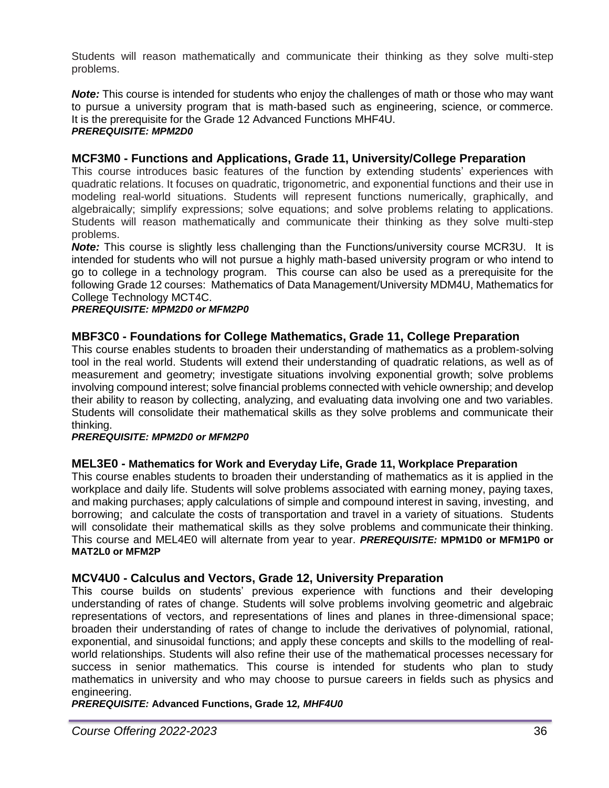Students will reason mathematically and communicate their thinking as they solve multi-step problems.

*Note:* This course is intended for students who enjoy the challenges of math or those who may want to pursue a university program that is math-based such as engineering, science, or commerce. It is the prerequisite for the Grade 12 Advanced Functions MHF4U. *PREREQUISITE: MPM2D0*

# **MCF3M0 - Functions and Applications, Grade 11, University/College Preparation**

This course introduces basic features of the function by extending students' experiences with quadratic relations. It focuses on quadratic, trigonometric, and exponential functions and their use in modeling real-world situations. Students will represent functions numerically, graphically, and algebraically; simplify expressions; solve equations; and solve problems relating to applications. Students will reason mathematically and communicate their thinking as they solve multi-step problems.

**Note:** This course is slightly less challenging than the Functions/university course MCR3U. It is intended for students who will not pursue a highly math-based university program or who intend to go to college in a technology program. This course can also be used as a prerequisite for the following Grade 12 courses: Mathematics of Data Management/University MDM4U, Mathematics for College Technology MCT4C.

#### *PREREQUISITE: MPM2D0 or MFM2P0*

# **MBF3C0 - Foundations for College Mathematics, Grade 11, College Preparation**

This course enables students to broaden their understanding of mathematics as a problem-solving tool in the real world. Students will extend their understanding of quadratic relations, as well as of measurement and geometry; investigate situations involving exponential growth; solve problems involving compound interest; solve financial problems connected with vehicle ownership; and develop their ability to reason by collecting, analyzing, and evaluating data involving one and two variables. Students will consolidate their mathematical skills as they solve problems and communicate their thinking.

#### *PREREQUISITE: MPM2D0 or MFM2P0*

# **MEL3E0 - Mathematics for Work and Everyday Life, Grade 11, Workplace Preparation**

This course enables students to broaden their understanding of mathematics as it is applied in the workplace and daily life. Students will solve problems associated with earning money, paying taxes, and making purchases; apply calculations of simple and compound interest in saving, investing, and borrowing; and calculate the costs of transportation and travel in a variety of situations. Students will consolidate their mathematical skills as they solve problems and communicate their thinking. This course and MEL4E0 will alternate from year to year. *PREREQUISITE:* **MPM1D0 or MFM1P0 or MAT2L0 or MFM2P**

# **MCV4U0 - Calculus and Vectors, Grade 12, University Preparation**

This course builds on students' previous experience with functions and their developing understanding of rates of change. Students will solve problems involving geometric and algebraic representations of vectors, and representations of lines and planes in three-dimensional space; broaden their understanding of rates of change to include the derivatives of polynomial, rational, exponential, and sinusoidal functions; and apply these concepts and skills to the modelling of realworld relationships. Students will also refine their use of the mathematical processes necessary for success in senior mathematics. This course is intended for students who plan to study mathematics in university and who may choose to pursue careers in fields such as physics and engineering.

*PREREQUISITE:* **Advanced Functions, Grade 12***, MHF4U0*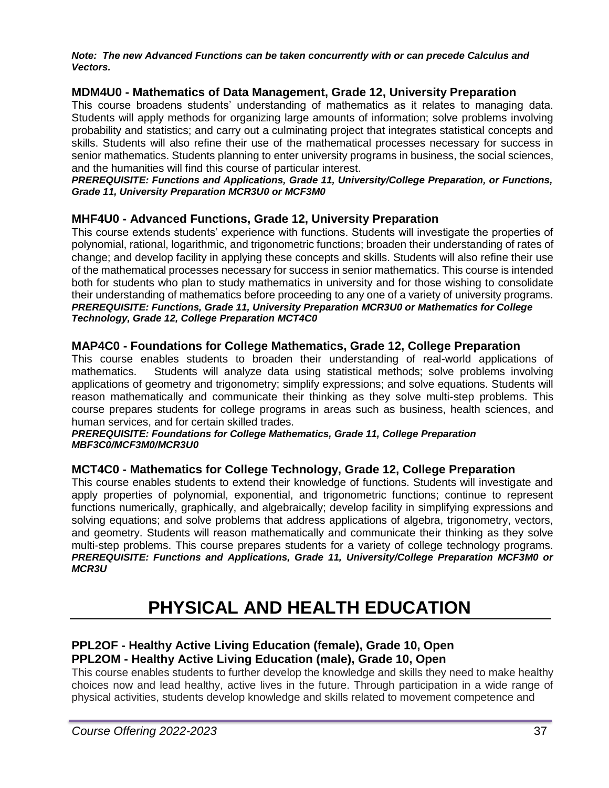*Note: The new Advanced Functions can be taken concurrently with or can precede Calculus and Vectors.*

# **MDM4U0 - Mathematics of Data Management, Grade 12, University Preparation**

This course broadens students' understanding of mathematics as it relates to managing data. Students will apply methods for organizing large amounts of information; solve problems involving probability and statistics; and carry out a culminating project that integrates statistical concepts and skills. Students will also refine their use of the mathematical processes necessary for success in senior mathematics. Students planning to enter university programs in business, the social sciences, and the humanities will find this course of particular interest.

#### *PREREQUISITE: Functions and Applications, Grade 11, University/College Preparation, or Functions, Grade 11, University Preparation MCR3U0 or MCF3M0*

# **MHF4U0 - Advanced Functions, Grade 12, University Preparation**

This course extends students' experience with functions. Students will investigate the properties of polynomial, rational, logarithmic, and trigonometric functions; broaden their understanding of rates of change; and develop facility in applying these concepts and skills. Students will also refine their use of the mathematical processes necessary for success in senior mathematics. This course is intended both for students who plan to study mathematics in university and for those wishing to consolidate their understanding of mathematics before proceeding to any one of a variety of university programs. *PREREQUISITE: Functions, Grade 11, University Preparation MCR3U0 or Mathematics for College Technology, Grade 12, College Preparation MCT4C0*

# **MAP4C0 - Foundations for College Mathematics, Grade 12, College Preparation**

This course enables students to broaden their understanding of real-world applications of mathematics. Students will analyze data using statistical methods; solve problems involving applications of geometry and trigonometry; simplify expressions; and solve equations. Students will reason mathematically and communicate their thinking as they solve multi-step problems. This course prepares students for college programs in areas such as business, health sciences, and human services, and for certain skilled trades.

#### *PREREQUISITE: Foundations for College Mathematics, Grade 11, College Preparation MBF3C0/MCF3M0/MCR3U0*

# **MCT4C0 - Mathematics for College Technology, Grade 12, College Preparation**

This course enables students to extend their knowledge of functions. Students will investigate and apply properties of polynomial, exponential, and trigonometric functions; continue to represent functions numerically, graphically, and algebraically; develop facility in simplifying expressions and solving equations; and solve problems that address applications of algebra, trigonometry, vectors, and geometry. Students will reason mathematically and communicate their thinking as they solve multi-step problems. This course prepares students for a variety of college technology programs. *PREREQUISITE: Functions and Applications, Grade 11, University/College Preparation MCF3M0 or MCR3U*

# **PHYSICAL AND HEALTH EDUCATION**

# **PPL2OF - Healthy Active Living Education (female), Grade 10, Open PPL2OM - Healthy Active Living Education (male), Grade 10, Open**

This course enables students to further develop the knowledge and skills they need to make healthy choices now and lead healthy, active lives in the future. Through participation in a wide range of physical activities, students develop knowledge and skills related to movement competence and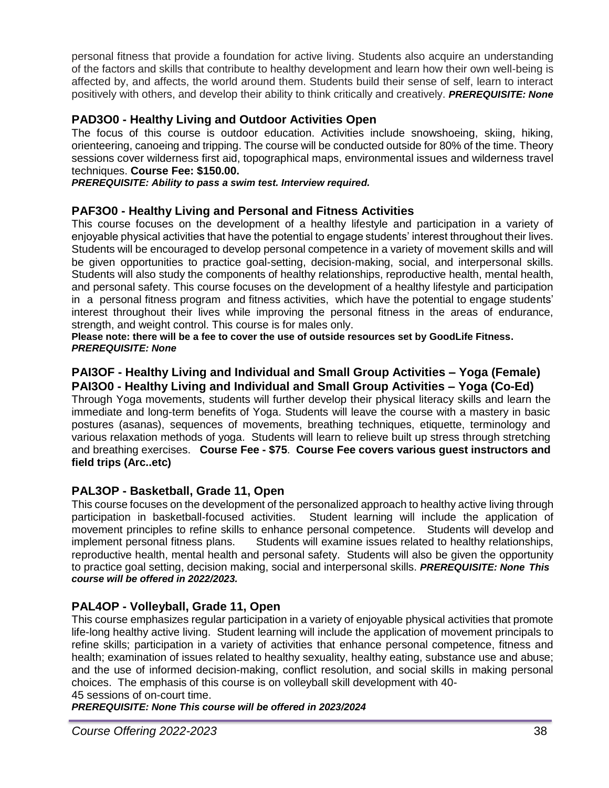personal fitness that provide a foundation for active living. Students also acquire an understanding of the factors and skills that contribute to healthy development and learn how their own well-being is affected by, and affects, the world around them. Students build their sense of self, learn to interact positively with others, and develop their ability to think critically and creatively. *PREREQUISITE: None*

# **PAD3O0 - Healthy Living and Outdoor Activities Open**

The focus of this course is outdoor education. Activities include snowshoeing, skiing, hiking, orienteering, canoeing and tripping. The course will be conducted outside for 80% of the time. Theory sessions cover wilderness first aid, topographical maps, environmental issues and wilderness travel techniques. **Course Fee: \$150.00.**

*PREREQUISITE: Ability to pass a swim test. Interview required.*

# **PAF3O0 - Healthy Living and Personal and Fitness Activities**

This course focuses on the development of a healthy lifestyle and participation in a variety of enjoyable physical activities that have the potential to engage students' interest throughout their lives. Students will be encouraged to develop personal competence in a variety of movement skills and will be given opportunities to practice goal-setting, decision-making, social, and interpersonal skills. Students will also study the components of healthy relationships, reproductive health, mental health, and personal safety. This course focuses on the development of a healthy lifestyle and participation in a personal fitness program and fitness activities, which have the potential to engage students' interest throughout their lives while improving the personal fitness in the areas of endurance, strength, and weight control. This course is for males only.

**Please note: there will be a fee to cover the use of outside resources set by GoodLife Fitness.** *PREREQUISITE: None*

# **PAI3OF - Healthy Living and Individual and Small Group Activities – Yoga (Female) PAI3O0 - Healthy Living and Individual and Small Group Activities – Yoga (Co-Ed)**

Through Yoga movements, students will further develop their physical literacy skills and learn the immediate and long-term benefits of Yoga. Students will leave the course with a mastery in basic postures (asanas), sequences of movements, breathing techniques, etiquette, terminology and various relaxation methods of yoga. Students will learn to relieve built up stress through stretching and breathing exercises. **Course Fee - \$75**. **Course Fee covers various guest instructors and field trips (Arc..etc)**

# **PAL3OP - Basketball, Grade 11, Open**

This course focuses on the development of the personalized approach to healthy active living through participation in basketball-focused activities. Student learning will include the application of movement principles to refine skills to enhance personal competence. Students will develop and implement personal fitness plans. Students will examine issues related to healthy relationships, reproductive health, mental health and personal safety. Students will also be given the opportunity to practice goal setting, decision making, social and interpersonal skills. *PREREQUISITE: None This course will be offered in 2022/2023.*

# **PAL4OP - Volleyball, Grade 11, Open**

This course emphasizes regular participation in a variety of enjoyable physical activities that promote life-long healthy active living. Student learning will include the application of movement principals to refine skills; participation in a variety of activities that enhance personal competence, fitness and health; examination of issues related to healthy sexuality, healthy eating, substance use and abuse; and the use of informed decision-making, conflict resolution, and social skills in making personal choices. The emphasis of this course is on volleyball skill development with 40-

#### 45 sessions of on-court time.

*PREREQUISITE: None This course will be offered in 2023/2024*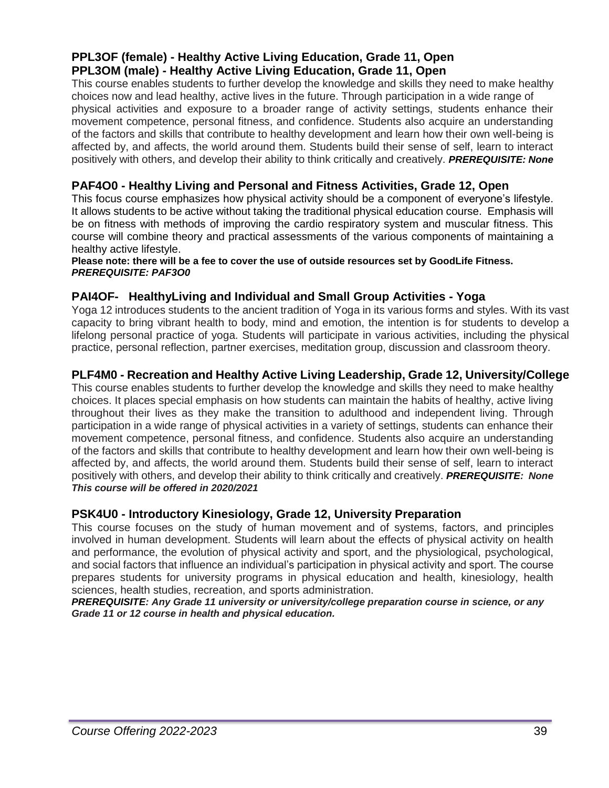# **PPL3OF (female) - Healthy Active Living Education, Grade 11, Open PPL3OM (male) - Healthy Active Living Education, Grade 11, Open**

This course enables students to further develop the knowledge and skills they need to make healthy choices now and lead healthy, active lives in the future. Through participation in a wide range of physical activities and exposure to a broader range of activity settings, students enhance their movement competence, personal fitness, and confidence. Students also acquire an understanding of the factors and skills that contribute to healthy development and learn how their own well-being is affected by, and affects, the world around them. Students build their sense of self, learn to interact positively with others, and develop their ability to think critically and creatively. *PREREQUISITE: None*

# **PAF4O0 - Healthy Living and Personal and Fitness Activities, Grade 12, Open**

This focus course emphasizes how physical activity should be a component of everyone's lifestyle. It allows students to be active without taking the traditional physical education course. Emphasis will be on fitness with methods of improving the cardio respiratory system and muscular fitness. This course will combine theory and practical assessments of the various components of maintaining a healthy active lifestyle.

#### **Please note: there will be a fee to cover the use of outside resources set by GoodLife Fitness.** *PREREQUISITE: PAF3O0*

# **PAI4OF- HealthyLiving and Individual and Small Group Activities - Yoga**

Yoga 12 introduces students to the ancient tradition of Yoga in its various forms and styles. With its vast capacity to bring vibrant health to body, mind and emotion, the intention is for students to develop a lifelong personal practice of yoga. Students will participate in various activities, including the physical practice, personal reflection, partner exercises, meditation group, discussion and classroom theory.

# **PLF4M0 - Recreation and Healthy Active Living Leadership, Grade 12, University/College**

This course enables students to further develop the knowledge and skills they need to make healthy choices. It places special emphasis on how students can maintain the habits of healthy, active living throughout their lives as they make the transition to adulthood and independent living. Through participation in a wide range of physical activities in a variety of settings, students can enhance their movement competence, personal fitness, and confidence. Students also acquire an understanding of the factors and skills that contribute to healthy development and learn how their own well-being is affected by, and affects, the world around them. Students build their sense of self, learn to interact positively with others, and develop their ability to think critically and creatively. *PREREQUISITE: None This course will be offered in 2020/2021*

# **PSK4U0 - Introductory Kinesiology, Grade 12, University Preparation**

This course focuses on the study of human movement and of systems, factors, and principles involved in human development. Students will learn about the effects of physical activity on health and performance, the evolution of physical activity and sport, and the physiological, psychological, and social factors that influence an individual's participation in physical activity and sport. The course prepares students for university programs in physical education and health, kinesiology, health sciences, health studies, recreation, and sports administration.

*PREREQUISITE: Any Grade 11 university or university/college preparation course in science, or any Grade 11 or 12 course in health and physical education.*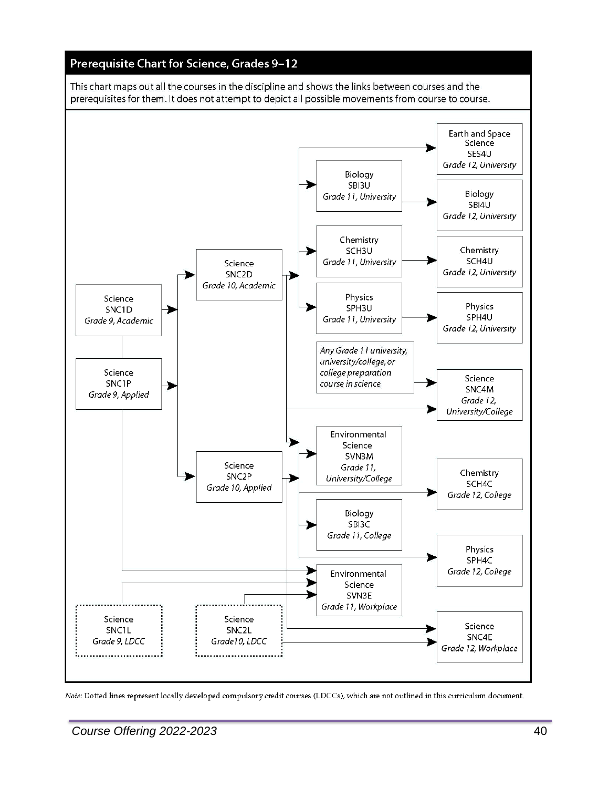

Note: Dotted lines represent locally developed compulsory credit courses (LDCCs), which are not outlined in this curriculum document.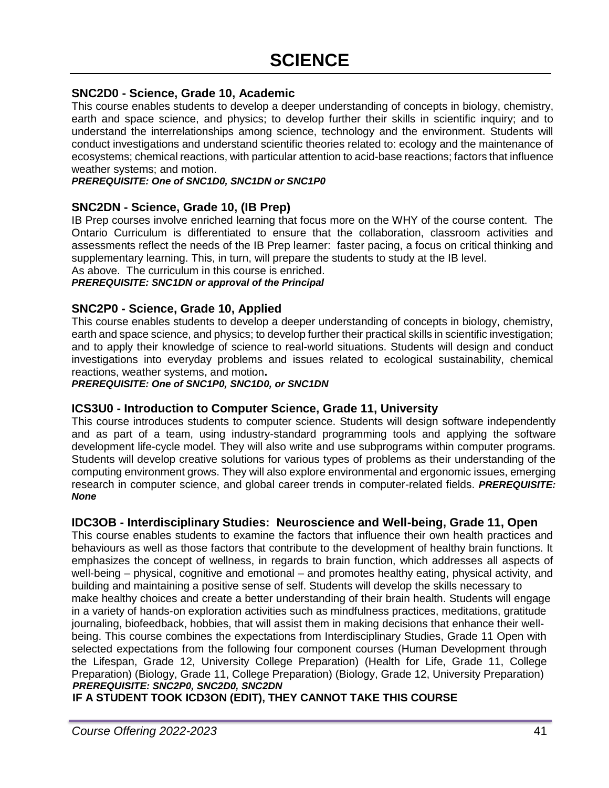#### **SNC2D0 - Science, Grade 10, Academic**

This course enables students to develop a deeper understanding of concepts in biology, chemistry, earth and space science, and physics; to develop further their skills in scientific inquiry; and to understand the interrelationships among science, technology and the environment. Students will conduct investigations and understand scientific theories related to: ecology and the maintenance of ecosystems; chemical reactions, with particular attention to acid-base reactions; factors that influence weather systems; and motion.

#### *PREREQUISITE: One of SNC1D0, SNC1DN or SNC1P0*

#### **SNC2DN - Science, Grade 10, (IB Prep)**

IB Prep courses involve enriched learning that focus more on the WHY of the course content. The Ontario Curriculum is differentiated to ensure that the collaboration, classroom activities and assessments reflect the needs of the IB Prep learner: faster pacing, a focus on critical thinking and supplementary learning. This, in turn, will prepare the students to study at the IB level.

As above. The curriculum in this course is enriched.

*PREREQUISITE: SNC1DN or approval of the Principal*

#### **SNC2P0 - Science, Grade 10, Applied**

This course enables students to develop a deeper understanding of concepts in biology, chemistry, earth and space science, and physics; to develop further their practical skills in scientific investigation; and to apply their knowledge of science to real-world situations. Students will design and conduct investigations into everyday problems and issues related to ecological sustainability, chemical reactions, weather systems, and motion**.**

*PREREQUISITE: One of SNC1P0, SNC1D0, or SNC1DN*

#### **ICS3U0 - Introduction to Computer Science, Grade 11, University**

This course introduces students to computer science. Students will design software independently and as part of a team, using industry-standard programming tools and applying the software development life-cycle model. They will also write and use subprograms within computer programs. Students will develop creative solutions for various types of problems as their understanding of the computing environment grows. They will also explore environmental and ergonomic issues, emerging research in computer science, and global career trends in computer-related fields. *PREREQUISITE: None*

#### **IDC3OB - Interdisciplinary Studies: Neuroscience and Well-being, Grade 11, Open**

This course enables students to examine the factors that influence their own health practices and behaviours as well as those factors that contribute to the development of healthy brain functions. It emphasizes the concept of wellness, in regards to brain function, which addresses all aspects of well-being – physical, cognitive and emotional – and promotes healthy eating, physical activity, and building and maintaining a positive sense of self. Students will develop the skills necessary to make healthy choices and create a better understanding of their brain health. Students will engage in a variety of hands-on exploration activities such as mindfulness practices, meditations, gratitude journaling, biofeedback, hobbies, that will assist them in making decisions that enhance their wellbeing. This course combines the expectations from Interdisciplinary Studies, Grade 11 Open with selected expectations from the following four component courses (Human Development through the Lifespan, Grade 12, University College Preparation) (Health for Life, Grade 11, College Preparation) (Biology, Grade 11, College Preparation) (Biology, Grade 12, University Preparation) *PREREQUISITE: SNC2P0, SNC2D0, SNC2DN*

**IF A STUDENT TOOK ICD3ON (EDIT), THEY CANNOT TAKE THIS COURSE**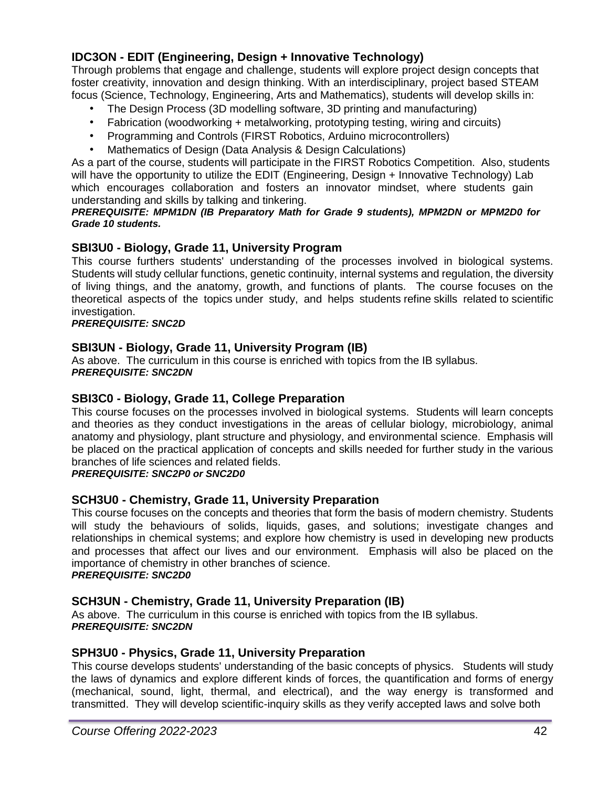# **IDC3ON - EDIT (Engineering, Design + Innovative Technology)**

Through problems that engage and challenge, students will explore project design concepts that foster creativity, innovation and design thinking. With an interdisciplinary, project based STEAM focus (Science, Technology, Engineering, Arts and Mathematics), students will develop skills in:

- The Design Process (3D modelling software, 3D printing and manufacturing)
- Fabrication (woodworking + metalworking, prototyping testing, wiring and circuits)
- Programming and Controls (FIRST Robotics, Arduino microcontrollers)
- Mathematics of Design (Data Analysis & Design Calculations)

As a part of the course, students will participate in the FIRST Robotics Competition. Also, students will have the opportunity to utilize the EDIT (Engineering, Design + Innovative Technology) Lab which encourages collaboration and fosters an innovator mindset, where students gain understanding and skills by talking and tinkering.

#### *PREREQUISITE: MPM1DN (IB Preparatory Math for Grade 9 students), MPM2DN or MPM2D0 for Grade 10 students.*

# **SBI3U0 - Biology, Grade 11, University Program**

This course furthers students' understanding of the processes involved in biological systems. Students will study cellular functions, genetic continuity, internal systems and regulation, the diversity of living things, and the anatomy, growth, and functions of plants. The course focuses on the theoretical aspects of the topics under study, and helps students refine skills related to scientific investigation.

#### *PREREQUISITE: SNC2D*

# **SBI3UN - Biology, Grade 11, University Program (IB)**

As above. The curriculum in this course is enriched with topics from the IB syllabus. *PREREQUISITE: SNC2DN*

# **SBI3C0 - Biology, Grade 11, College Preparation**

This course focuses on the processes involved in biological systems. Students will learn concepts and theories as they conduct investigations in the areas of cellular biology, microbiology, animal anatomy and physiology, plant structure and physiology, and environmental science. Emphasis will be placed on the practical application of concepts and skills needed for further study in the various branches of life sciences and related fields.

*PREREQUISITE: SNC2P0 or SNC2D0*

# **SCH3U0 - Chemistry, Grade 11, University Preparation**

This course focuses on the concepts and theories that form the basis of modern chemistry. Students will study the behaviours of solids, liquids, gases, and solutions; investigate changes and relationships in chemical systems; and explore how chemistry is used in developing new products and processes that affect our lives and our environment. Emphasis will also be placed on the importance of chemistry in other branches of science. *PREREQUISITE: SNC2D0*

# **SCH3UN - Chemistry, Grade 11, University Preparation (IB)**

As above. The curriculum in this course is enriched with topics from the IB syllabus. *PREREQUISITE: SNC2DN*

# **SPH3U0 - Physics, Grade 11, University Preparation**

This course develops students' understanding of the basic concepts of physics. Students will study the laws of dynamics and explore different kinds of forces, the quantification and forms of energy (mechanical, sound, light, thermal, and electrical), and the way energy is transformed and transmitted. They will develop scientific-inquiry skills as they verify accepted laws and solve both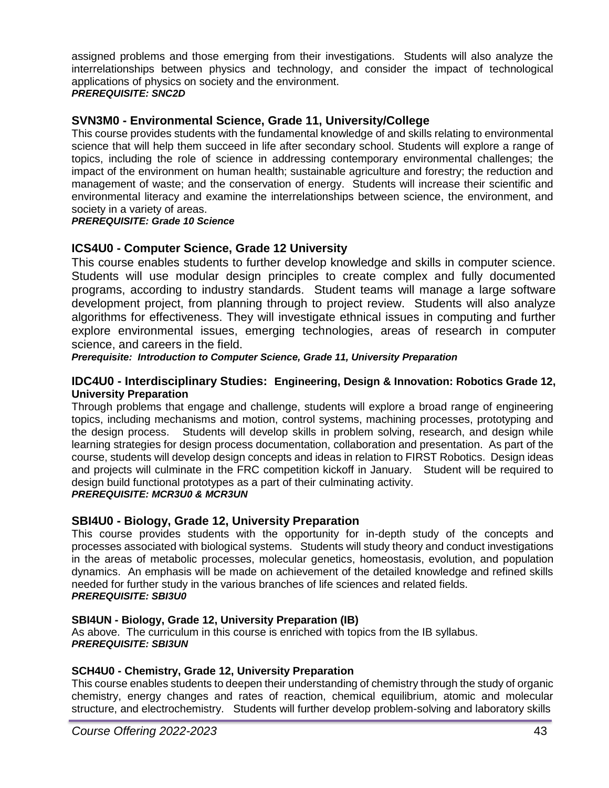assigned problems and those emerging from their investigations. Students will also analyze the interrelationships between physics and technology, and consider the impact of technological applications of physics on society and the environment.

#### *PREREQUISITE: SNC2D*

# **SVN3M0 - Environmental Science, Grade 11, University/College**

This course provides students with the fundamental knowledge of and skills relating to environmental science that will help them succeed in life after secondary school. Students will explore a range of topics, including the role of science in addressing contemporary environmental challenges; the impact of the environment on human health; sustainable agriculture and forestry; the reduction and management of waste; and the conservation of energy. Students will increase their scientific and environmental literacy and examine the interrelationships between science, the environment, and society in a variety of areas.

#### *PREREQUISITE: Grade 10 Science*

# **ICS4U0 - Computer Science, Grade 12 University**

This course enables students to further develop knowledge and skills in computer science. Students will use modular design principles to create complex and fully documented programs, according to industry standards. Student teams will manage a large software development project, from planning through to project review. Students will also analyze algorithms for effectiveness. They will investigate ethnical issues in computing and further explore environmental issues, emerging technologies, areas of research in computer science, and careers in the field.

*Prerequisite: Introduction to Computer Science, Grade 11, University Preparation*

#### **IDC4U0 - Interdisciplinary Studies: Engineering, Design & Innovation: Robotics Grade 12, University Preparation**

Through problems that engage and challenge, students will explore a broad range of engineering topics, including mechanisms and motion, control systems, machining processes, prototyping and the design process. Students will develop skills in problem solving, research, and design while learning strategies for design process documentation, collaboration and presentation. As part of the course, students will develop design concepts and ideas in relation to FIRST Robotics. Design ideas and projects will culminate in the FRC competition kickoff in January. Student will be required to design build functional prototypes as a part of their culminating activity. *PREREQUISITE: MCR3U0 & MCR3UN*

# **SBI4U0 - Biology, Grade 12, University Preparation**

This course provides students with the opportunity for in-depth study of the concepts and processes associated with biological systems. Students will study theory and conduct investigations in the areas of metabolic processes, molecular genetics, homeostasis, evolution, and population dynamics. An emphasis will be made on achievement of the detailed knowledge and refined skills needed for further study in the various branches of life sciences and related fields. *PREREQUISITE: SBI3U0*

#### **SBI4UN - Biology, Grade 12, University Preparation (IB)**

As above. The curriculum in this course is enriched with topics from the IB syllabus. *PREREQUISITE: SBI3UN*

#### **SCH4U0 - Chemistry, Grade 12, University Preparation**

This course enables students to deepen their understanding of chemistry through the study of organic chemistry, energy changes and rates of reaction, chemical equilibrium, atomic and molecular structure, and electrochemistry. Students will further develop problem-solving and laboratory skills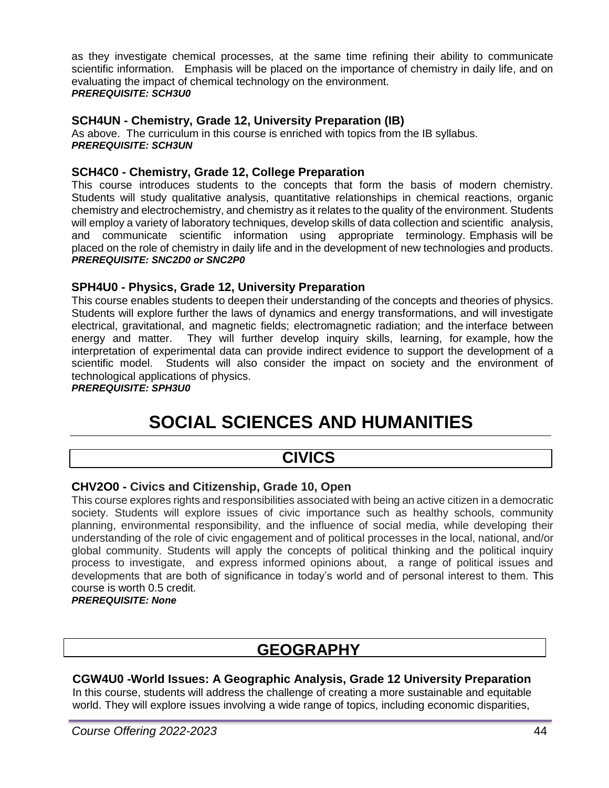as they investigate chemical processes, at the same time refining their ability to communicate scientific information. Emphasis will be placed on the importance of chemistry in daily life, and on evaluating the impact of chemical technology on the environment. *PREREQUISITE: SCH3U0*

# **SCH4UN - Chemistry, Grade 12, University Preparation (IB)**

As above. The curriculum in this course is enriched with topics from the IB syllabus. *PREREQUISITE: SCH3UN*

# **SCH4C0 - Chemistry, Grade 12, College Preparation**

This course introduces students to the concepts that form the basis of modern chemistry. Students will study qualitative analysis, quantitative relationships in chemical reactions, organic chemistry and electrochemistry, and chemistry as it relates to the quality of the environment. Students will employ a variety of laboratory techniques, develop skills of data collection and scientific analysis, and communicate scientific information using appropriate terminology. Emphasis will be placed on the role of chemistry in daily life and in the development of new technologies and products. *PREREQUISITE: SNC2D0 or SNC2P0*

# **SPH4U0 - Physics, Grade 12, University Preparation**

This course enables students to deepen their understanding of the concepts and theories of physics. Students will explore further the laws of dynamics and energy transformations, and will investigate electrical, gravitational, and magnetic fields; electromagnetic radiation; and the interface between energy and matter. They will further develop inquiry skills, learning, for example, how the interpretation of experimental data can provide indirect evidence to support the development of a scientific model. Students will also consider the impact on society and the environment of technological applications of physics.

#### *PREREQUISITE: SPH3U0*

# **SOCIAL SCIENCES AND HUMANITIES**

# **CIVICS**

# **CHV2O0 - Civics and Citizenship, Grade 10, Open**

This course explores rights and responsibilities associated with being an active citizen in a democratic society. Students will explore issues of civic importance such as healthy schools, community planning, environmental responsibility, and the influence of social media, while developing their understanding of the role of civic engagement and of political processes in the local, national, and/or global community. Students will apply the concepts of political thinking and the political inquiry process to investigate, and express informed opinions about, a range of political issues and developments that are both of significance in today's world and of personal interest to them. This course is worth 0.5 credit.

#### *PREREQUISITE: None*

# **GEOGRAPHY**

# **CGW4U0 -World Issues: A Geographic Analysis, Grade 12 University Preparation**

In this course, students will address the challenge of creating a more sustainable and equitable world. They will explore issues involving a wide range of topics, including economic disparities,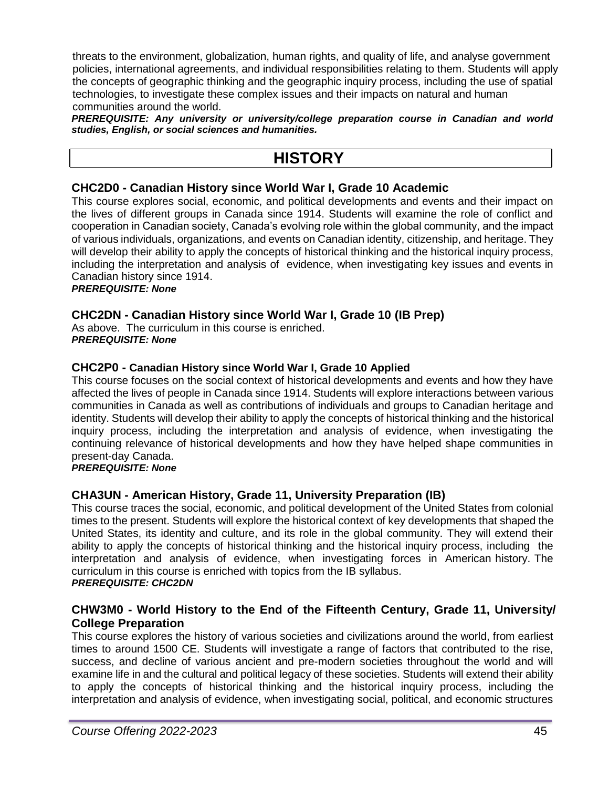threats to the environment, globalization, human rights, and quality of life, and analyse government policies, international agreements, and individual responsibilities relating to them. Students will apply the concepts of geographic thinking and the geographic inquiry process, including the use of spatial technologies, to investigate these complex issues and their impacts on natural and human communities around the world.

*PREREQUISITE: Any university or university/college preparation course in Canadian and world studies, English, or social sciences and humanities.*

# **HISTORY**

# **CHC2D0 - Canadian History since World War I, Grade 10 Academic**

This course explores social, economic, and political developments and events and their impact on the lives of different groups in Canada since 1914. Students will examine the role of conflict and cooperation in Canadian society, Canada's evolving role within the global community, and the impact of various individuals, organizations, and events on Canadian identity, citizenship, and heritage. They will develop their ability to apply the concepts of historical thinking and the historical inquiry process, including the interpretation and analysis of evidence, when investigating key issues and events in Canadian history since 1914.

#### *PREREQUISITE: None*

# **CHC2DN - Canadian History since World War I, Grade 10 (IB Prep)**

As above. The curriculum in this course is enriched. *PREREQUISITE: None*

#### **CHC2P0 - Canadian History since World War I, Grade 10 Applied**

This course focuses on the social context of historical developments and events and how they have affected the lives of people in Canada since 1914. Students will explore interactions between various communities in Canada as well as contributions of individuals and groups to Canadian heritage and identity. Students will develop their ability to apply the concepts of historical thinking and the historical inquiry process, including the interpretation and analysis of evidence, when investigating the continuing relevance of historical developments and how they have helped shape communities in present-day Canada.

#### *PREREQUISITE: None*

# **CHA3UN - American History, Grade 11, University Preparation (IB)**

This course traces the social, economic, and political development of the United States from colonial times to the present. Students will explore the historical context of key developments that shaped the United States, its identity and culture, and its role in the global community. They will extend their ability to apply the concepts of historical thinking and the historical inquiry process, including the interpretation and analysis of evidence, when investigating forces in American history. The curriculum in this course is enriched with topics from the IB syllabus. *PREREQUISITE: CHC2DN*

# **CHW3M0 - World History to the End of the Fifteenth Century, Grade 11, University/ College Preparation**

This course explores the history of various societies and civilizations around the world, from earliest times to around 1500 CE. Students will investigate a range of factors that contributed to the rise, success, and decline of various ancient and pre-modern societies throughout the world and will examine life in and the cultural and political legacy of these societies. Students will extend their ability to apply the concepts of historical thinking and the historical inquiry process, including the interpretation and analysis of evidence, when investigating social, political, and economic structures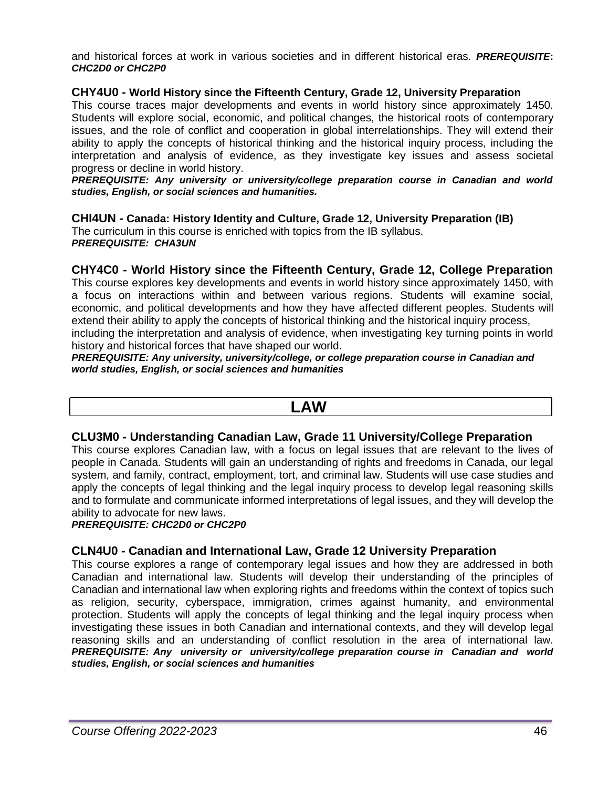and historical forces at work in various societies and in different historical eras. *PREREQUISITE***:**  *CHC2D0 or CHC2P0*

#### **CHY4U0 - World History since the Fifteenth Century, Grade 12, University Preparation**

This course traces major developments and events in world history since approximately 1450. Students will explore social, economic, and political changes, the historical roots of contemporary issues, and the role of conflict and cooperation in global interrelationships. They will extend their ability to apply the concepts of historical thinking and the historical inquiry process, including the interpretation and analysis of evidence, as they investigate key issues and assess societal progress or decline in world history.

*PREREQUISITE: Any university or university/college preparation course in Canadian and world studies, English, or social sciences and humanities.*

**CHI4UN - Canada: History Identity and Culture, Grade 12, University Preparation (IB)**

The curriculum in this course is enriched with topics from the IB syllabus. *PREREQUISITE: CHA3UN*

#### **CHY4C0 - World History since the Fifteenth Century, Grade 12, College Preparation**

This course explores key developments and events in world history since approximately 1450, with a focus on interactions within and between various regions. Students will examine social, economic, and political developments and how they have affected different peoples. Students will extend their ability to apply the concepts of historical thinking and the historical inquiry process, including the interpretation and analysis of evidence, when investigating key turning points in world history and historical forces that have shaped our world.

*PREREQUISITE: Any university, university/college, or college preparation course in Canadian and world studies, English, or social sciences and humanities*

# **LAW**

#### **CLU3M0 - Understanding Canadian Law, Grade 11 University/College Preparation**

This course explores Canadian law, with a focus on legal issues that are relevant to the lives of people in Canada. Students will gain an understanding of rights and freedoms in Canada, our legal system, and family, contract, employment, tort, and criminal law. Students will use case studies and apply the concepts of legal thinking and the legal inquiry process to develop legal reasoning skills and to formulate and communicate informed interpretations of legal issues, and they will develop the ability to advocate for new laws.

#### *PREREQUISITE: CHC2D0 or CHC2P0*

#### **CLN4U0 - Canadian and International Law, Grade 12 University Preparation**

This course explores a range of contemporary legal issues and how they are addressed in both Canadian and international law. Students will develop their understanding of the principles of Canadian and international law when exploring rights and freedoms within the context of topics such as religion, security, cyberspace, immigration, crimes against humanity, and environmental protection. Students will apply the concepts of legal thinking and the legal inquiry process when investigating these issues in both Canadian and international contexts, and they will develop legal reasoning skills and an understanding of conflict resolution in the area of international law. *PREREQUISITE: Any university or university/college preparation course in Canadian and world studies, English, or social sciences and humanities*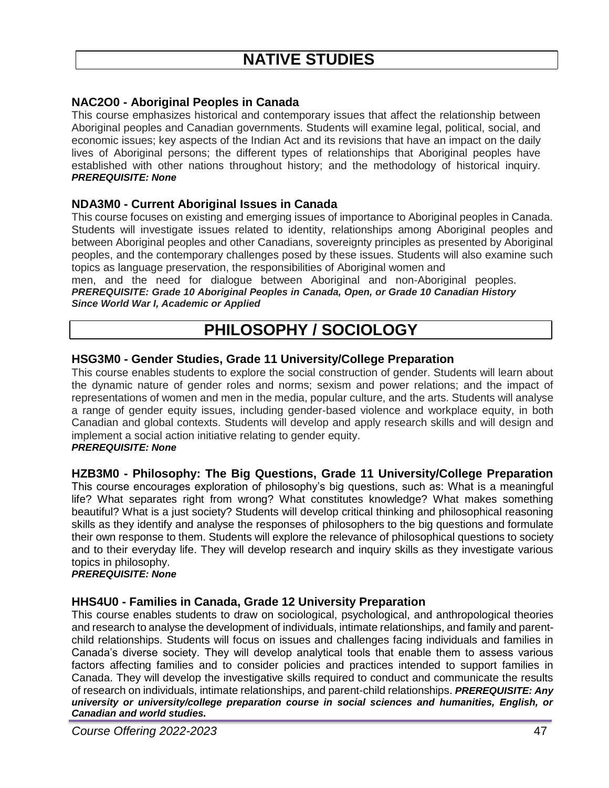# **NAC2O0 - Aboriginal Peoples in Canada**

This course emphasizes historical and contemporary issues that affect the relationship between Aboriginal peoples and Canadian governments. Students will examine legal, political, social, and economic issues; key aspects of the Indian Act and its revisions that have an impact on the daily lives of Aboriginal persons; the different types of relationships that Aboriginal peoples have established with other nations throughout history; and the methodology of historical inquiry. *PREREQUISITE: None*

# **NDA3M0 - Current Aboriginal Issues in Canada**

This course focuses on existing and emerging issues of importance to Aboriginal peoples in Canada. Students will investigate issues related to identity, relationships among Aboriginal peoples and between Aboriginal peoples and other Canadians, sovereignty principles as presented by Aboriginal peoples, and the contemporary challenges posed by these issues. Students will also examine such topics as language preservation, the responsibilities of Aboriginal women and

men, and the need for dialogue between Aboriginal and non-Aboriginal peoples. *PREREQUISITE: Grade 10 Aboriginal Peoples in Canada, Open, or Grade 10 Canadian History Since World War I, Academic or Applied*

# **PHILOSOPHY / SOCIOLOGY**

#### **HSG3M0 - Gender Studies, Grade 11 University/College Preparation**

This course enables students to explore the social construction of gender. Students will learn about the dynamic nature of gender roles and norms; sexism and power relations; and the impact of representations of women and men in the media, popular culture, and the arts. Students will analyse a range of gender equity issues, including gender-based violence and workplace equity, in both Canadian and global contexts. Students will develop and apply research skills and will design and implement a social action initiative relating to gender equity. *PREREQUISITE: None*

# **HZB3M0 - Philosophy: The Big Questions, Grade 11 University/College Preparation**

This course encourages exploration of philosophy's big questions, such as: What is a meaningful life? What separates right from wrong? What constitutes knowledge? What makes something beautiful? What is a just society? Students will develop critical thinking and philosophical reasoning skills as they identify and analyse the responses of philosophers to the big questions and formulate their own response to them. Students will explore the relevance of philosophical questions to society and to their everyday life. They will develop research and inquiry skills as they investigate various topics in philosophy.

#### *PREREQUISITE: None*

# **HHS4U0 - Families in Canada, Grade 12 University Preparation**

This course enables students to draw on sociological, psychological, and anthropological theories and research to analyse the development of individuals, intimate relationships, and family and parentchild relationships. Students will focus on issues and challenges facing individuals and families in Canada's diverse society. They will develop analytical tools that enable them to assess various factors affecting families and to consider policies and practices intended to support families in Canada. They will develop the investigative skills required to conduct and communicate the results of research on individuals, intimate relationships, and parent-child relationships. *PREREQUISITE: Any university or university/college preparation course in social sciences and humanities, English, or Canadian and world studies.*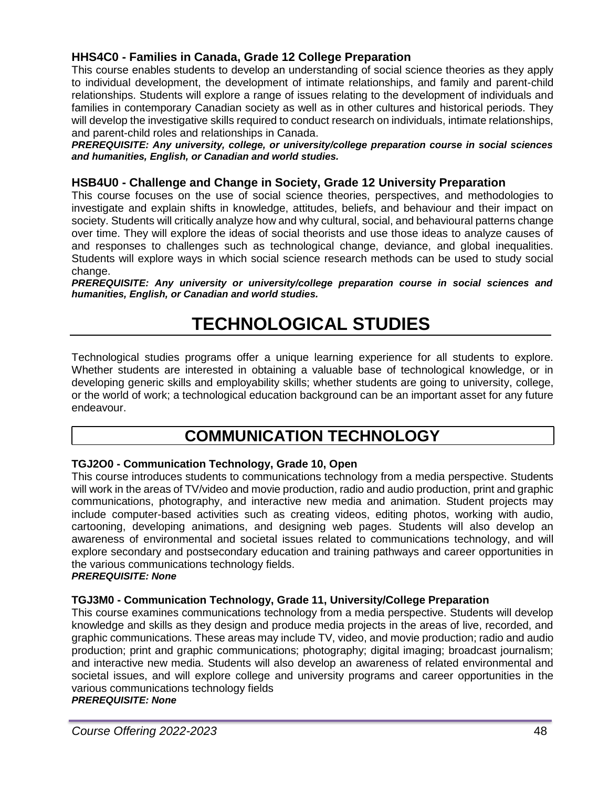# **HHS4C0 - Families in Canada, Grade 12 College Preparation**

This course enables students to develop an understanding of social science theories as they apply to individual development, the development of intimate relationships, and family and parent-child relationships. Students will explore a range of issues relating to the development of individuals and families in contemporary Canadian society as well as in other cultures and historical periods. They will develop the investigative skills required to conduct research on individuals, intimate relationships, and parent-child roles and relationships in Canada.

*PREREQUISITE: Any university, college, or university/college preparation course in social sciences and humanities, English, or Canadian and world studies.*

# **HSB4U0 - Challenge and Change in Society, Grade 12 University Preparation**

This course focuses on the use of social science theories, perspectives, and methodologies to investigate and explain shifts in knowledge, attitudes, beliefs, and behaviour and their impact on society. Students will critically analyze how and why cultural, social, and behavioural patterns change over time. They will explore the ideas of social theorists and use those ideas to analyze causes of and responses to challenges such as technological change, deviance, and global inequalities. Students will explore ways in which social science research methods can be used to study social change.

*PREREQUISITE: Any university or university/college preparation course in social sciences and humanities, English, or Canadian and world studies.*

# **TECHNOLOGICAL STUDIES**

Technological studies programs offer a unique learning experience for all students to explore. Whether students are interested in obtaining a valuable base of technological knowledge, or in developing generic skills and employability skills; whether students are going to university, college, or the world of work; a technological education background can be an important asset for any future endeavour.

# **COMMUNICATION TECHNOLOGY**

# **TGJ2O0 - Communication Technology, Grade 10, Open**

This course introduces students to communications technology from a media perspective. Students will work in the areas of TV/video and movie production, radio and audio production, print and graphic communications, photography, and interactive new media and animation. Student projects may include computer-based activities such as creating videos, editing photos, working with audio, cartooning, developing animations, and designing web pages. Students will also develop an awareness of environmental and societal issues related to communications technology, and will explore secondary and postsecondary education and training pathways and career opportunities in the various communications technology fields.

#### *PREREQUISITE: None*

# **TGJ3M0 - Communication Technology, Grade 11, University/College Preparation**

This course examines communications technology from a media perspective. Students will develop knowledge and skills as they design and produce media projects in the areas of live, recorded, and graphic communications. These areas may include TV, video, and movie production; radio and audio production; print and graphic communications; photography; digital imaging; broadcast journalism; and interactive new media. Students will also develop an awareness of related environmental and societal issues, and will explore college and university programs and career opportunities in the various communications technology fields

#### *PREREQUISITE: None*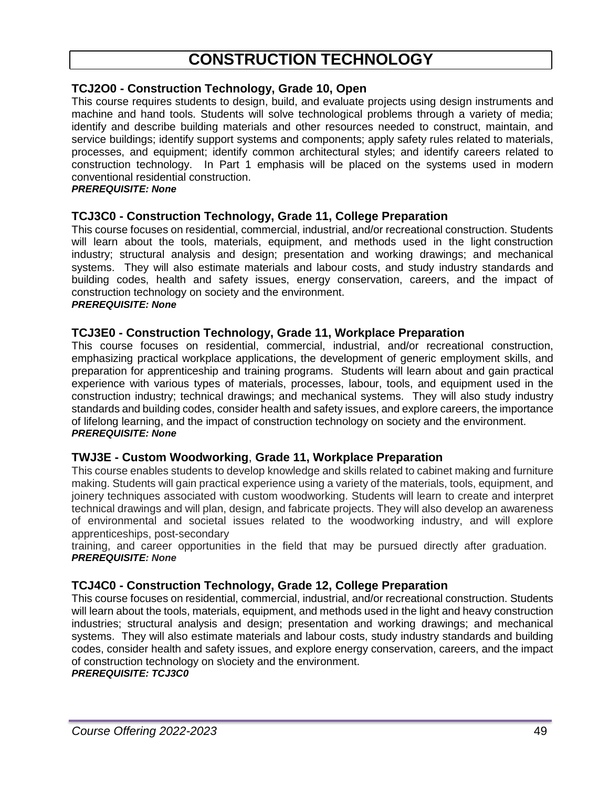# **CONSTRUCTION TECHNOLOGY**

# **TCJ2O0 - Construction Technology, Grade 10, Open**

This course requires students to design, build, and evaluate projects using design instruments and machine and hand tools. Students will solve technological problems through a variety of media; identify and describe building materials and other resources needed to construct, maintain, and service buildings; identify support systems and components; apply safety rules related to materials, processes, and equipment; identify common architectural styles; and identify careers related to construction technology. In Part 1 emphasis will be placed on the systems used in modern conventional residential construction.

#### *PREREQUISITE: None*

# **TCJ3C0 - Construction Technology, Grade 11, College Preparation**

This course focuses on residential, commercial, industrial, and/or recreational construction. Students will learn about the tools, materials, equipment, and methods used in the light construction industry; structural analysis and design; presentation and working drawings; and mechanical systems. They will also estimate materials and labour costs, and study industry standards and building codes, health and safety issues, energy conservation, careers, and the impact of construction technology on society and the environment.

# *PREREQUISITE: None*

#### **TCJ3E0 - Construction Technology, Grade 11, Workplace Preparation**

This course focuses on residential, commercial, industrial, and/or recreational construction, emphasizing practical workplace applications, the development of generic employment skills, and preparation for apprenticeship and training programs. Students will learn about and gain practical experience with various types of materials, processes, labour, tools, and equipment used in the construction industry; technical drawings; and mechanical systems. They will also study industry standards and building codes, consider health and safety issues, and explore careers, the importance of lifelong learning, and the impact of construction technology on society and the environment. *PREREQUISITE: None*

#### **TWJ3E - Custom Woodworking**, **Grade 11, Workplace Preparation**

This course enables students to develop knowledge and skills related to cabinet making and furniture making. Students will gain practical experience using a variety of the materials, tools, equipment, and joinery techniques associated with custom woodworking. Students will learn to create and interpret technical drawings and will plan, design, and fabricate projects. They will also develop an awareness of environmental and societal issues related to the woodworking industry, and will explore apprenticeships, post-secondary

training, and career opportunities in the field that may be pursued directly after graduation. *PREREQUISITE: None*

# **TCJ4C0 - Construction Technology, Grade 12, College Preparation**

This course focuses on residential, commercial, industrial, and/or recreational construction. Students will learn about the tools, materials, equipment, and methods used in the light and heavy construction industries; structural analysis and design; presentation and working drawings; and mechanical systems. They will also estimate materials and labour costs, study industry standards and building codes, consider health and safety issues, and explore energy conservation, careers, and the impact of construction technology on s\ociety and the environment.

#### *PREREQUISITE: TCJ3C0*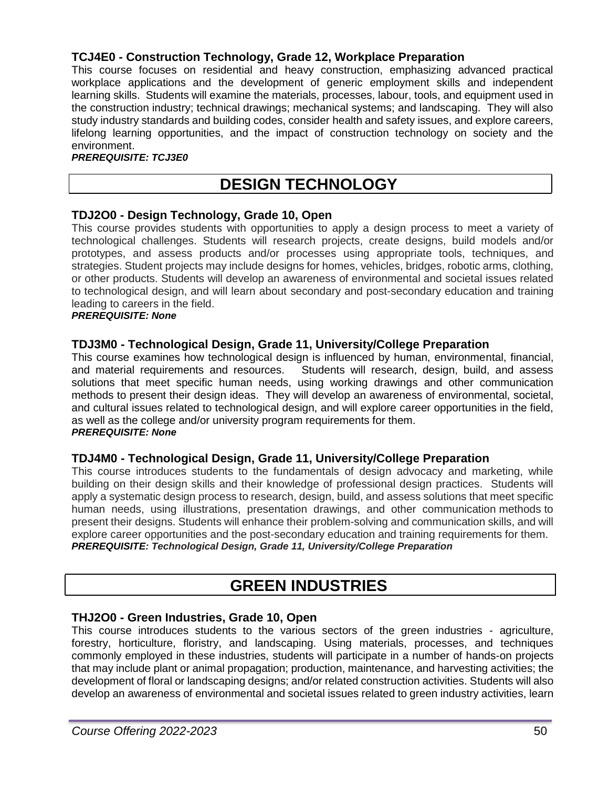# **TCJ4E0 - Construction Technology, Grade 12, Workplace Preparation**

This course focuses on residential and heavy construction, emphasizing advanced practical workplace applications and the development of generic employment skills and independent learning skills. Students will examine the materials, processes, labour, tools, and equipment used in the construction industry; technical drawings; mechanical systems; and landscaping. They will also study industry standards and building codes, consider health and safety issues, and explore careers, lifelong learning opportunities, and the impact of construction technology on society and the environment.

#### *PREREQUISITE: TCJ3E0*

# **DESIGN TECHNOLOGY**

#### **TDJ2O0 - Design Technology, Grade 10, Open**

This course provides students with opportunities to apply a design process to meet a variety of technological challenges. Students will research projects, create designs, build models and/or prototypes, and assess products and/or processes using appropriate tools, techniques, and strategies. Student projects may include designs for homes, vehicles, bridges, robotic arms, clothing, or other products. Students will develop an awareness of environmental and societal issues related to technological design, and will learn about secondary and post-secondary education and training leading to careers in the field.

#### *PREREQUISITE: None*

#### **TDJ3M0 - Technological Design, Grade 11, University/College Preparation**

This course examines how technological design is influenced by human, environmental, financial, and material requirements and resources. Students will research, design, build, and assess solutions that meet specific human needs, using working drawings and other communication methods to present their design ideas. They will develop an awareness of environmental, societal, and cultural issues related to technological design, and will explore career opportunities in the field, as well as the college and/or university program requirements for them. *PREREQUISITE: None*

#### **TDJ4M0 - Technological Design, Grade 11, University/College Preparation**

This course introduces students to the fundamentals of design advocacy and marketing, while building on their design skills and their knowledge of professional design practices. Students will apply a systematic design process to research, design, build, and assess solutions that meet specific human needs, using illustrations, presentation drawings, and other communication methods to present their designs. Students will enhance their problem-solving and communication skills, and will explore career opportunities and the post-secondary education and training requirements for them. *PREREQUISITE: Technological Design, Grade 11, University/College Preparation*

# **GREEN INDUSTRIES**

#### **THJ2O0 - Green Industries, Grade 10, Open**

This course introduces students to the various sectors of the green industries - agriculture, forestry, horticulture, floristry, and landscaping. Using materials, processes, and techniques commonly employed in these industries, students will participate in a number of hands-on projects that may include plant or animal propagation; production, maintenance, and harvesting activities; the development of floral or landscaping designs; and/or related construction activities. Students will also develop an awareness of environmental and societal issues related to green industry activities, learn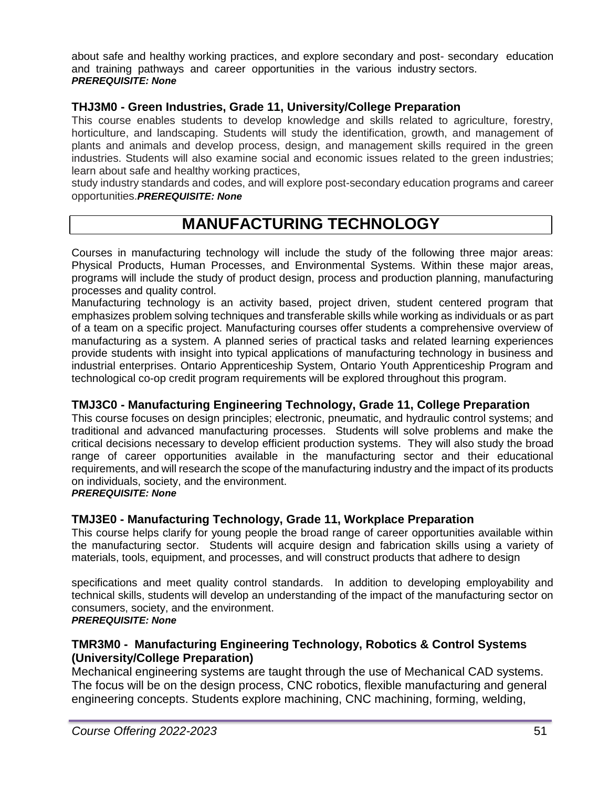about safe and healthy working practices, and explore secondary and post- secondary education and training pathways and career opportunities in the various industry sectors. *PREREQUISITE: None*

# **THJ3M0 - Green Industries, Grade 11, University/College Preparation**

This course enables students to develop knowledge and skills related to agriculture, forestry, horticulture, and landscaping. Students will study the identification, growth, and management of plants and animals and develop process, design, and management skills required in the green industries. Students will also examine social and economic issues related to the green industries; learn about safe and healthy working practices,

study industry standards and codes, and will explore post-secondary education programs and career opportunities.*PREREQUISITE: None*

# **MANUFACTURING TECHNOLOGY**

Courses in manufacturing technology will include the study of the following three major areas: Physical Products, Human Processes, and Environmental Systems. Within these major areas, programs will include the study of product design, process and production planning, manufacturing processes and quality control.

Manufacturing technology is an activity based, project driven, student centered program that emphasizes problem solving techniques and transferable skills while working as individuals or as part of a team on a specific project. Manufacturing courses offer students a comprehensive overview of manufacturing as a system. A planned series of practical tasks and related learning experiences provide students with insight into typical applications of manufacturing technology in business and industrial enterprises. Ontario Apprenticeship System, Ontario Youth Apprenticeship Program and technological co-op credit program requirements will be explored throughout this program.

# **TMJ3C0 - Manufacturing Engineering Technology, Grade 11, College Preparation**

This course focuses on design principles; electronic, pneumatic, and hydraulic control systems; and traditional and advanced manufacturing processes. Students will solve problems and make the critical decisions necessary to develop efficient production systems. They will also study the broad range of career opportunities available in the manufacturing sector and their educational requirements, and will research the scope of the manufacturing industry and the impact of its products on individuals, society, and the environment.

#### *PREREQUISITE: None*

# **TMJ3E0 - Manufacturing Technology, Grade 11, Workplace Preparation**

This course helps clarify for young people the broad range of career opportunities available within the manufacturing sector. Students will acquire design and fabrication skills using a variety of materials, tools, equipment, and processes, and will construct products that adhere to design

specifications and meet quality control standards. In addition to developing employability and technical skills, students will develop an understanding of the impact of the manufacturing sector on consumers, society, and the environment. *PREREQUISITE: None*

# **TMR3M0 - Manufacturing Engineering Technology, Robotics & Control Systems**

# **(University/College Preparation)**

Mechanical engineering systems are taught through the use of Mechanical CAD systems. The focus will be on the design process, CNC robotics, flexible manufacturing and general engineering concepts. Students explore machining, CNC machining, forming, welding,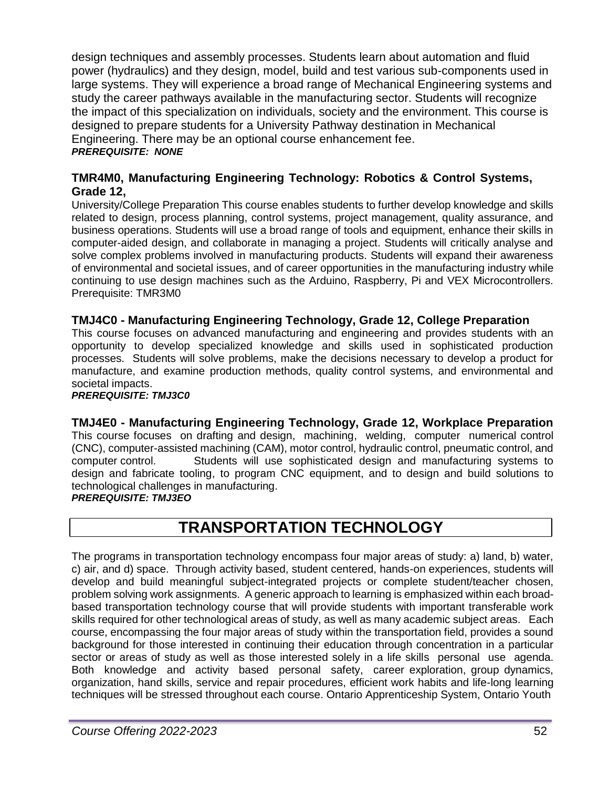design techniques and assembly processes. Students learn about automation and fluid power (hydraulics) and they design, model, build and test various sub-components used in large systems. They will experience a broad range of Mechanical Engineering systems and study the career pathways available in the manufacturing sector. Students will recognize the impact of this specialization on individuals, society and the environment. This course is designed to prepare students for a University Pathway destination in Mechanical Engineering. There may be an optional course enhancement fee. *PREREQUISITE: NONE*

# **TMR4M0, Manufacturing Engineering Technology: Robotics & Control Systems, Grade 12,**

University/College Preparation This course enables students to further develop knowledge and skills related to design, process planning, control systems, project management, quality assurance, and business operations. Students will use a broad range of tools and equipment, enhance their skills in computer-aided design, and collaborate in managing a project. Students will critically analyse and solve complex problems involved in manufacturing products. Students will expand their awareness of environmental and societal issues, and of career opportunities in the manufacturing industry while continuing to use design machines such as the Arduino, Raspberry, Pi and VEX Microcontrollers. Prerequisite: TMR3M0

# **TMJ4C0 - Manufacturing Engineering Technology, Grade 12, College Preparation**

This course focuses on advanced manufacturing and engineering and provides students with an opportunity to develop specialized knowledge and skills used in sophisticated production processes. Students will solve problems, make the decisions necessary to develop a product for manufacture, and examine production methods, quality control systems, and environmental and societal impacts.

*PREREQUISITE: TMJ3C0*

#### **TMJ4E0 - Manufacturing Engineering Technology, Grade 12, Workplace Preparation**  This course focuses on drafting and design, machining, welding, computer numerical control

(CNC), computer-assisted machining (CAM), motor control, hydraulic control, pneumatic control, and computer control. Students will use sophisticated design and manufacturing systems to design and fabricate tooling, to program CNC equipment, and to design and build solutions to technological challenges in manufacturing. *PREREQUISITE: TMJ3EO*

# **TRANSPORTATION TECHNOLOGY**

The programs in transportation technology encompass four major areas of study: a) land, b) water, c) air, and d) space. Through activity based, student centered, hands-on experiences, students will develop and build meaningful subject-integrated projects or complete student/teacher chosen, problem solving work assignments. A generic approach to learning is emphasized within each broadbased transportation technology course that will provide students with important transferable work skills required for other technological areas of study, as well as many academic subject areas. Each course, encompassing the four major areas of study within the transportation field, provides a sound background for those interested in continuing their education through concentration in a particular sector or areas of study as well as those interested solely in a life skills personal use agenda. Both knowledge and activity based personal safety, career exploration, group dynamics, organization, hand skills, service and repair procedures, efficient work habits and life-long learning techniques will be stressed throughout each course. Ontario Apprenticeship System, Ontario Youth